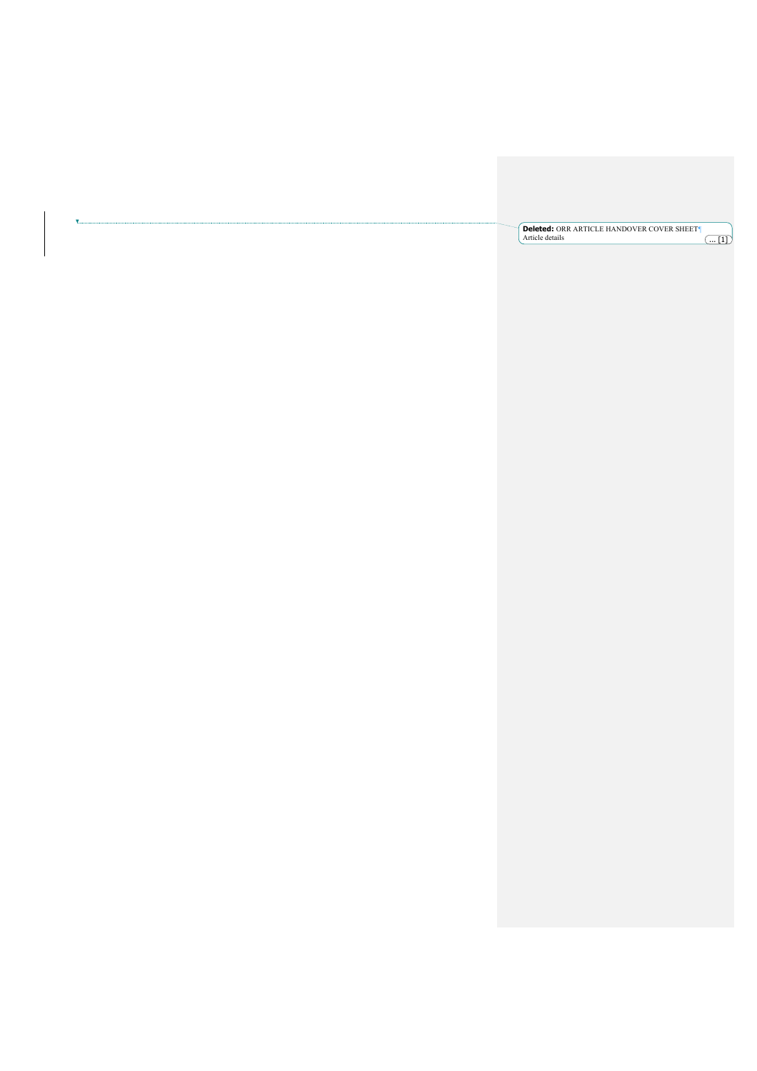**Deleted:** ORR ARTICLE HANDOVER COVER SHEET¶ Article details ... [1]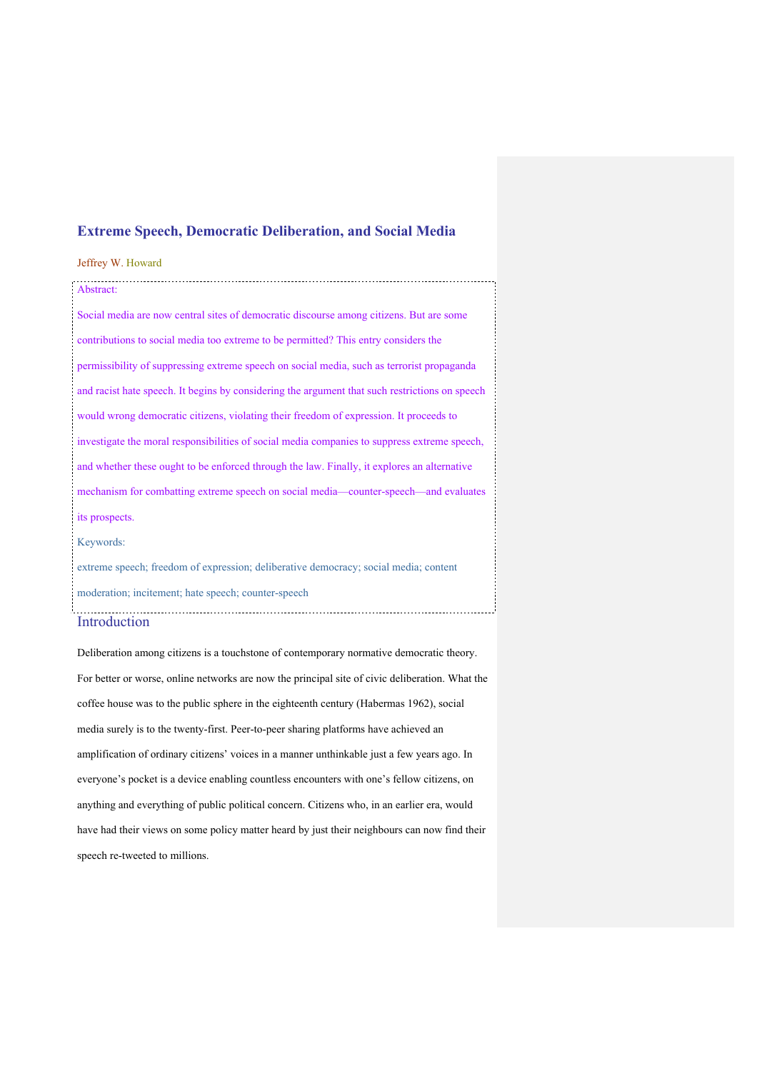# **Extreme Speech, Democratic Deliberation, and Social Media**

#### Jeffrey W. Howard

| Abstract:                                                                                      |
|------------------------------------------------------------------------------------------------|
|                                                                                                |
| Social media are now central sites of democratic discourse among citizens. But are some        |
|                                                                                                |
| contributions to social media too extreme to be permitted? This entry considers the            |
|                                                                                                |
| permissibility of suppressing extreme speech on social media, such as terrorist propaganda     |
|                                                                                                |
| and racist hate speech. It begins by considering the argument that such restrictions on speech |
|                                                                                                |
| would wrong democratic citizens, violating their freedom of expression. It proceeds to         |
|                                                                                                |
| investigate the moral responsibilities of social media companies to suppress extreme speech,   |
|                                                                                                |
| and whether these ought to be enforced through the law. Finally, it explores an alternative    |
|                                                                                                |
| mechanism for combatting extreme speech on social media—counter-speech—and evaluates           |
|                                                                                                |
| its prospects.                                                                                 |
|                                                                                                |
| Keywords:                                                                                      |
|                                                                                                |
| extreme speech; freedom of expression; deliberative democracy; social media; content           |
|                                                                                                |
| moderation; incitement; hate speech; counter-speech                                            |
|                                                                                                |

### Introduction

Deliberation among citizens is a touchstone of contemporary normative democratic theory. For better or worse, online networks are now the principal site of civic deliberation. What the coffee house was to the public sphere in the eighteenth century (Habermas 1962), social media surely is to the twenty-first. Peer-to-peer sharing platforms have achieved an amplification of ordinary citizens' voices in a manner unthinkable just a few years ago. In everyone's pocket is a device enabling countless encounters with one's fellow citizens, on anything and everything of public political concern. Citizens who, in an earlier era, would have had their views on some policy matter heard by just their neighbours can now find their speech re-tweeted to millions.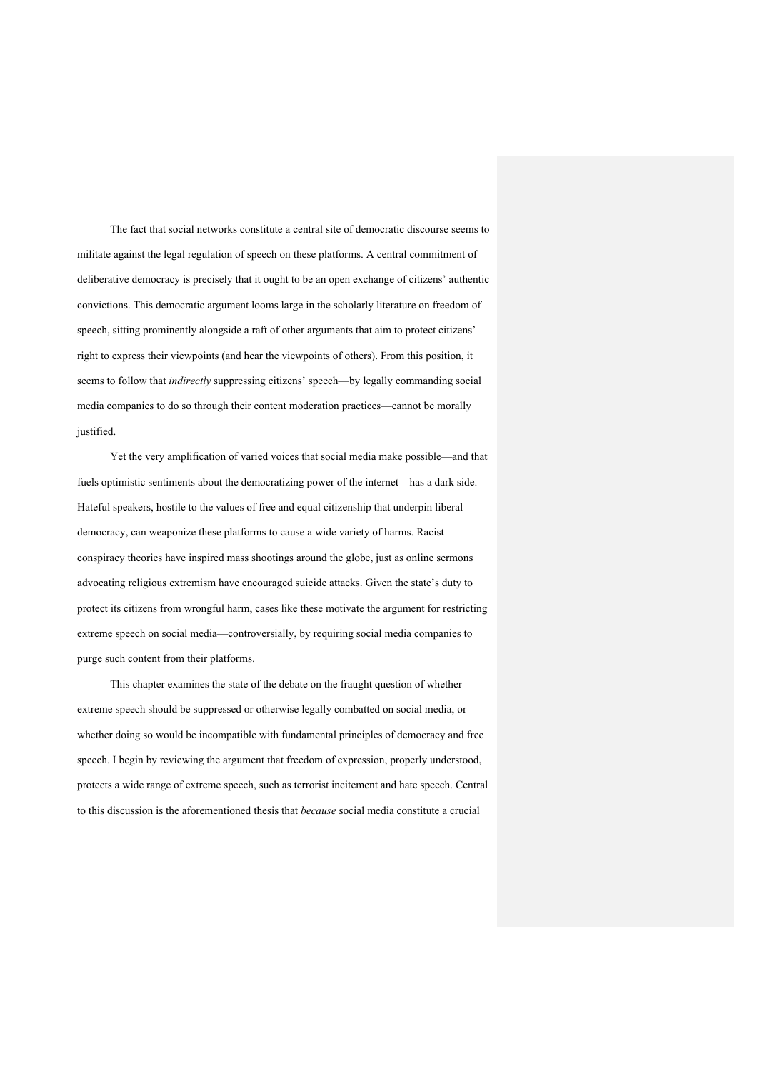The fact that social networks constitute a central site of democratic discourse seems to militate against the legal regulation of speech on these platforms. A central commitment of deliberative democracy is precisely that it ought to be an open exchange of citizens' authentic convictions. This democratic argument looms large in the scholarly literature on freedom of speech, sitting prominently alongside a raft of other arguments that aim to protect citizens' right to express their viewpoints (and hear the viewpoints of others). From this position, it seems to follow that *indirectly* suppressing citizens' speech—by legally commanding social media companies to do so through their content moderation practices—cannot be morally justified.

Yet the very amplification of varied voices that social media make possible—and that fuels optimistic sentiments about the democratizing power of the internet—has a dark side. Hateful speakers, hostile to the values of free and equal citizenship that underpin liberal democracy, can weaponize these platforms to cause a wide variety of harms. Racist conspiracy theories have inspired mass shootings around the globe, just as online sermons advocating religious extremism have encouraged suicide attacks. Given the state's duty to protect its citizens from wrongful harm, cases like these motivate the argument for restricting extreme speech on social media—controversially, by requiring social media companies to purge such content from their platforms.

This chapter examines the state of the debate on the fraught question of whether extreme speech should be suppressed or otherwise legally combatted on social media, or whether doing so would be incompatible with fundamental principles of democracy and free speech. I begin by reviewing the argument that freedom of expression, properly understood, protects a wide range of extreme speech, such as terrorist incitement and hate speech. Central to this discussion is the aforementioned thesis that *because* social media constitute a crucial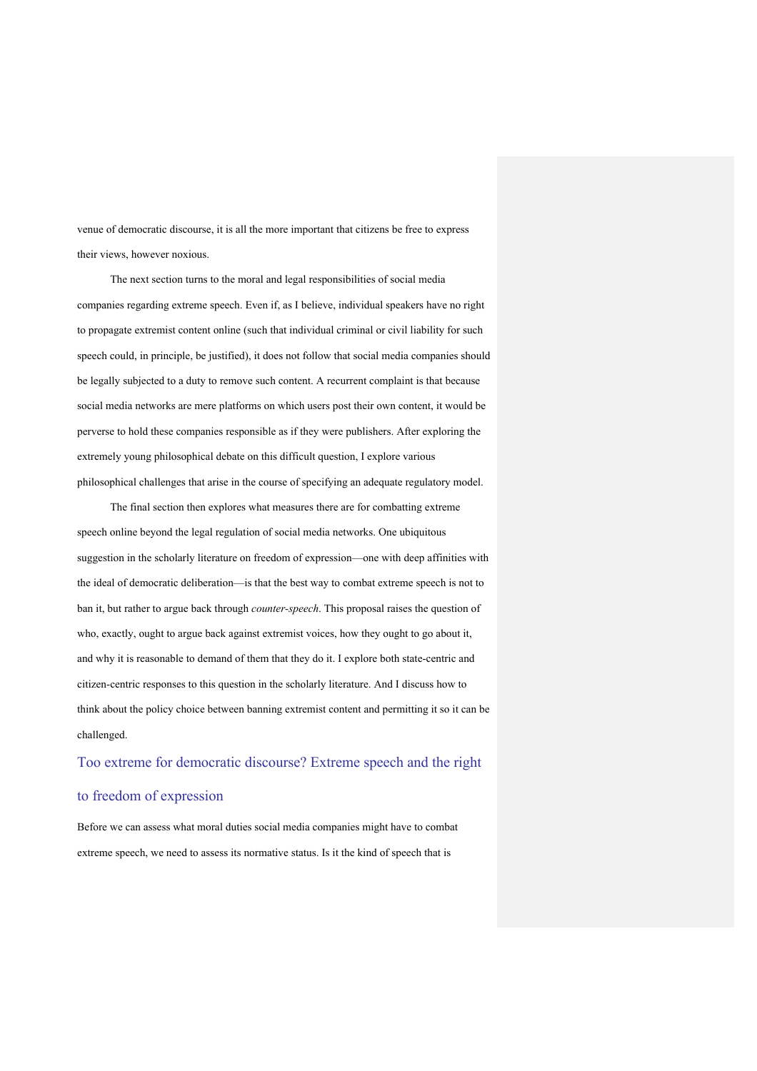venue of democratic discourse, it is all the more important that citizens be free to express their views, however noxious.

The next section turns to the moral and legal responsibilities of social media companies regarding extreme speech. Even if, as I believe, individual speakers have no right to propagate extremist content online (such that individual criminal or civil liability for such speech could, in principle, be justified), it does not follow that social media companies should be legally subjected to a duty to remove such content. A recurrent complaint is that because social media networks are mere platforms on which users post their own content, it would be perverse to hold these companies responsible as if they were publishers. After exploring the extremely young philosophical debate on this difficult question, I explore various philosophical challenges that arise in the course of specifying an adequate regulatory model.

The final section then explores what measures there are for combatting extreme speech online beyond the legal regulation of social media networks. One ubiquitous suggestion in the scholarly literature on freedom of expression—one with deep affinities with the ideal of democratic deliberation—is that the best way to combat extreme speech is not to ban it, but rather to argue back through *counter-speech*. This proposal raises the question of who, exactly, ought to argue back against extremist voices, how they ought to go about it, and why it is reasonable to demand of them that they do it. I explore both state-centric and citizen-centric responses to this question in the scholarly literature. And I discuss how to think about the policy choice between banning extremist content and permitting it so it can be challenged.

Too extreme for democratic discourse? Extreme speech and the right to freedom of expression

Before we can assess what moral duties social media companies might have to combat extreme speech, we need to assess its normative status. Is it the kind of speech that is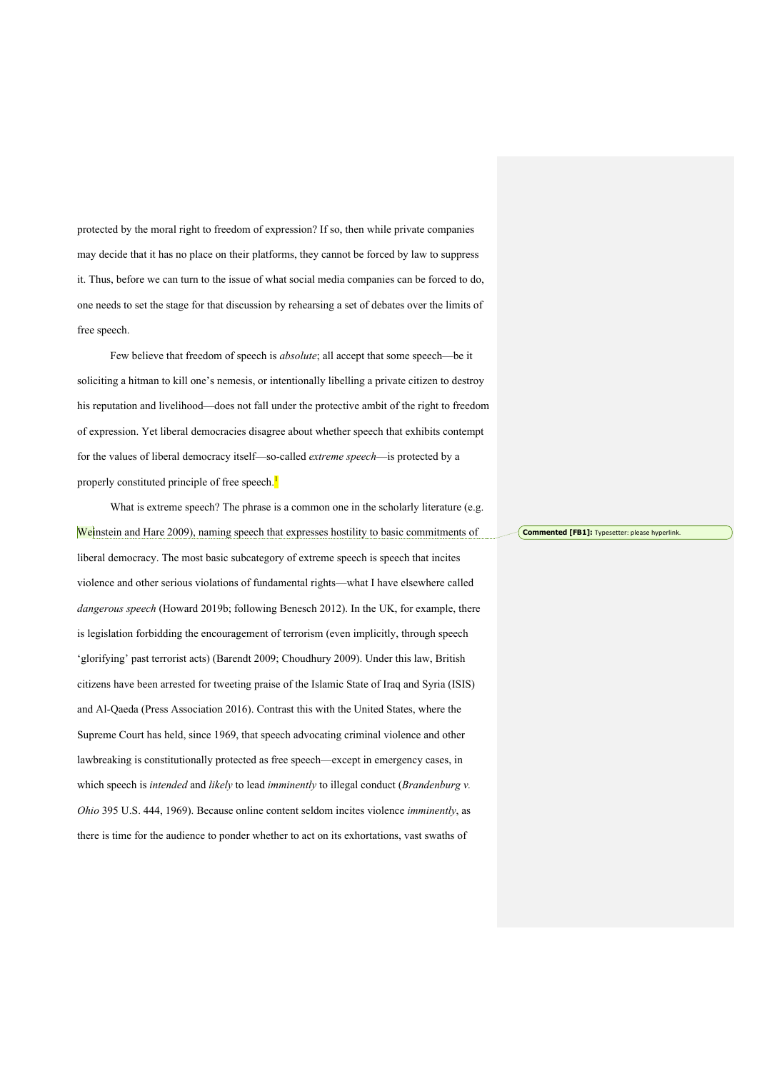protected by the moral right to freedom of expression? If so, then while private companies may decide that it has no place on their platforms, they cannot be forced by law to suppress it. Thus, before we can turn to the issue of what social media companies can be forced to do, one needs to set the stage for that discussion by rehearsing a set of debates over the limits of free speech.

Few believe that freedom of speech is *absolute*; all accept that some speech—be it soliciting a hitman to kill one's nemesis, or intentionally libelling a private citizen to destroy his reputation and livelihood—does not fall under the protective ambit of the right to freedom of expression. Yet liberal democracies disagree about whether speech that exhibits contempt for the values of liberal democracy itself—so-called *extreme speech*—is protected by a properly constituted principle of free speech.<sup>1</sup>

What is extreme speech? The phrase is a common one in the scholarly literature (e.g. Weinstein and Hare 2009), naming speech that expresses hostility to basic commitments of liberal democracy. The most basic subcategory of extreme speech is speech that incites violence and other serious violations of fundamental rights—what I have elsewhere called *dangerous speech* (Howard 2019b; following Benesch 2012). In the UK, for example, there is legislation forbidding the encouragement of terrorism (even implicitly, through speech 'glorifying' past terrorist acts) (Barendt 2009; Choudhury 2009). Under this law, British citizens have been arrested for tweeting praise of the Islamic State of Iraq and Syria (ISIS) and Al-Qaeda (Press Association 2016). Contrast this with the United States, where the Supreme Court has held, since 1969, that speech advocating criminal violence and other lawbreaking is constitutionally protected as free speech—except in emergency cases, in which speech is *intended* and *likely* to lead *imminently* to illegal conduct (*Brandenburg v. Ohio* 395 U.S. 444, 1969). Because online content seldom incites violence *imminently*, as there is time for the audience to ponder whether to act on its exhortations, vast swaths of

**Commented [FB1]:** Typesetter: please hyperlink.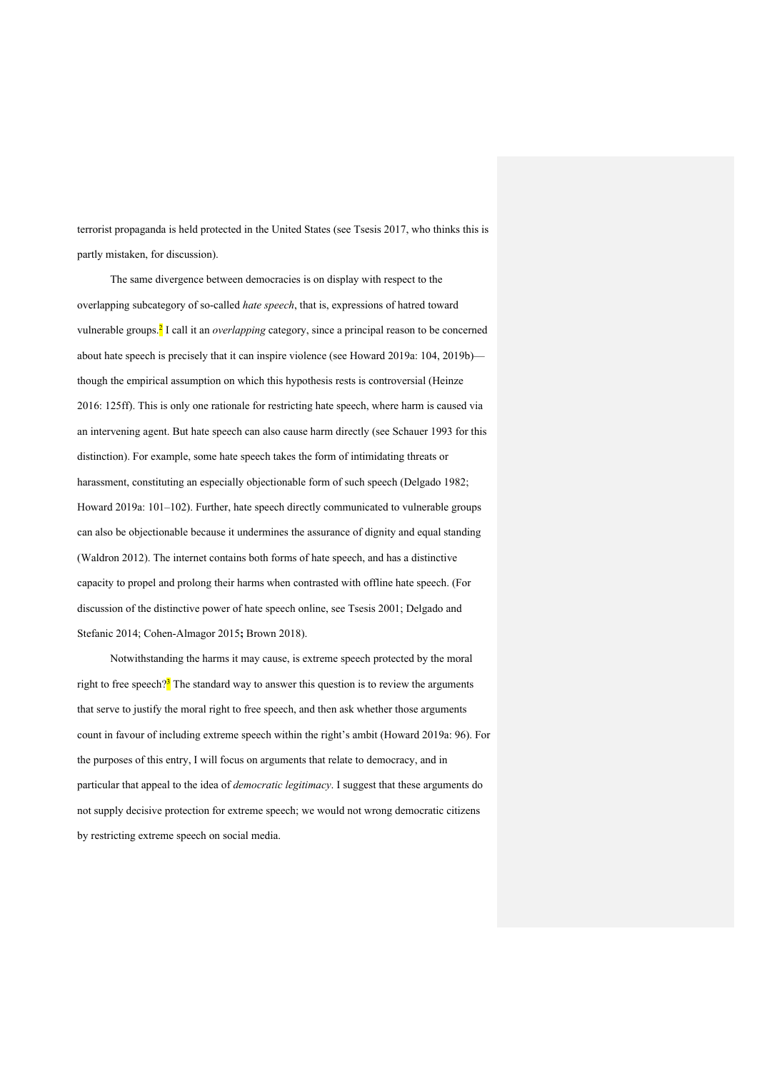terrorist propaganda is held protected in the United States (see Tsesis 2017, who thinks this is partly mistaken, for discussion).

The same divergence between democracies is on display with respect to the overlapping subcategory of so-called *hate speech*, that is, expressions of hatred toward vulnerable groups.2 I call it an *overlapping* category, since a principal reason to be concerned about hate speech is precisely that it can inspire violence (see Howard 2019a: 104, 2019b) though the empirical assumption on which this hypothesis rests is controversial (Heinze 2016: 125ff). This is only one rationale for restricting hate speech, where harm is caused via an intervening agent. But hate speech can also cause harm directly (see Schauer 1993 for this distinction). For example, some hate speech takes the form of intimidating threats or harassment, constituting an especially objectionable form of such speech (Delgado 1982; Howard 2019a: 101–102). Further, hate speech directly communicated to vulnerable groups can also be objectionable because it undermines the assurance of dignity and equal standing (Waldron 2012). The internet contains both forms of hate speech, and has a distinctive capacity to propel and prolong their harms when contrasted with offline hate speech. (For discussion of the distinctive power of hate speech online, see Tsesis 2001; Delgado and Stefanic 2014; Cohen-Almagor 2015**;** Brown 2018).

Notwithstanding the harms it may cause, is extreme speech protected by the moral right to free speech? $3^{\circ}$  The standard way to answer this question is to review the arguments that serve to justify the moral right to free speech, and then ask whether those arguments count in favour of including extreme speech within the right's ambit (Howard 2019a: 96). For the purposes of this entry, I will focus on arguments that relate to democracy, and in particular that appeal to the idea of *democratic legitimacy*. I suggest that these arguments do not supply decisive protection for extreme speech; we would not wrong democratic citizens by restricting extreme speech on social media.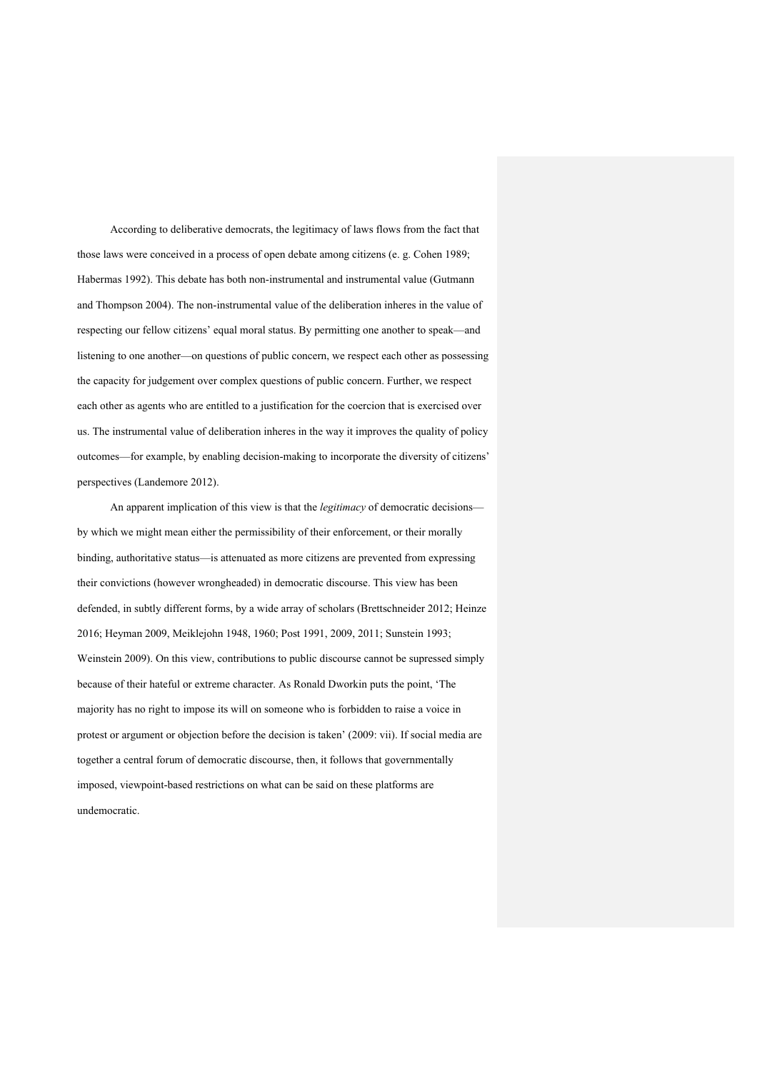According to deliberative democrats, the legitimacy of laws flows from the fact that those laws were conceived in a process of open debate among citizens (e. g. Cohen 1989; Habermas 1992). This debate has both non-instrumental and instrumental value (Gutmann and Thompson 2004). The non-instrumental value of the deliberation inheres in the value of respecting our fellow citizens' equal moral status. By permitting one another to speak—and listening to one another—on questions of public concern, we respect each other as possessing the capacity for judgement over complex questions of public concern. Further, we respect each other as agents who are entitled to a justification for the coercion that is exercised over us. The instrumental value of deliberation inheres in the way it improves the quality of policy outcomes—for example, by enabling decision-making to incorporate the diversity of citizens' perspectives (Landemore 2012).

An apparent implication of this view is that the *legitimacy* of democratic decisions by which we might mean either the permissibility of their enforcement, or their morally binding, authoritative status—is attenuated as more citizens are prevented from expressing their convictions (however wrongheaded) in democratic discourse. This view has been defended, in subtly different forms, by a wide array of scholars (Brettschneider 2012; Heinze 2016; Heyman 2009, Meiklejohn 1948, 1960; Post 1991, 2009, 2011; Sunstein 1993; Weinstein 2009). On this view, contributions to public discourse cannot be supressed simply because of their hateful or extreme character. As Ronald Dworkin puts the point, 'The majority has no right to impose its will on someone who is forbidden to raise a voice in protest or argument or objection before the decision is taken' (2009: vii). If social media are together a central forum of democratic discourse, then, it follows that governmentally imposed, viewpoint-based restrictions on what can be said on these platforms are undemocratic.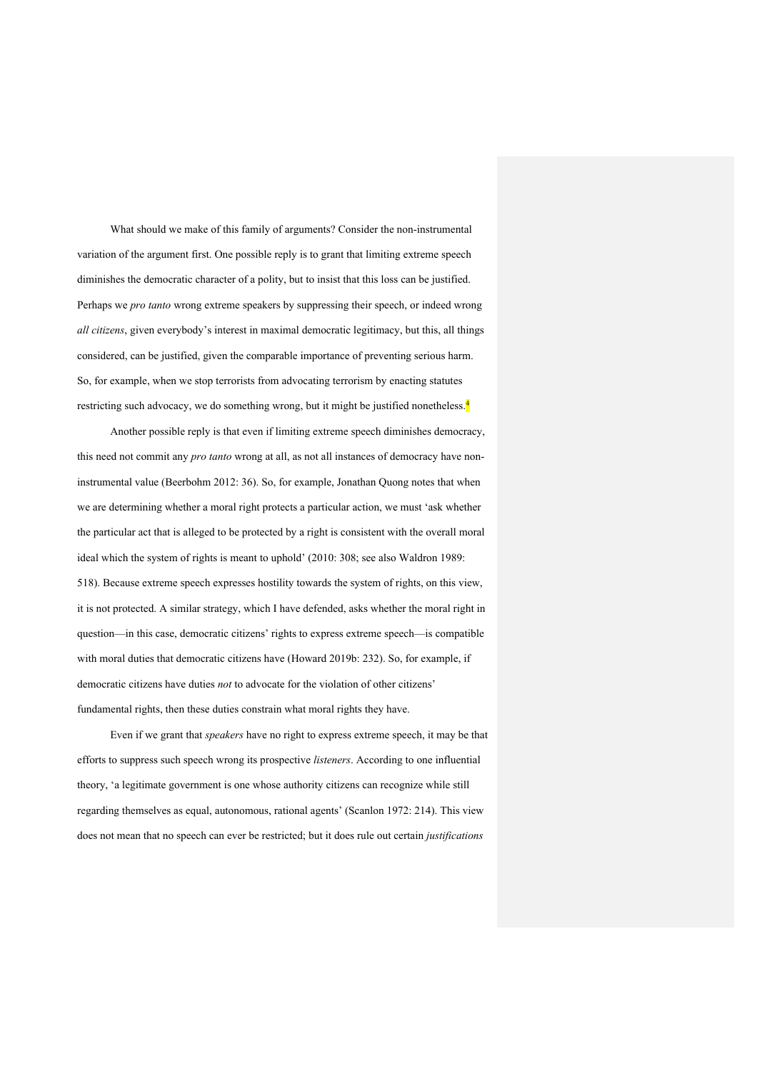What should we make of this family of arguments? Consider the non-instrumental variation of the argument first. One possible reply is to grant that limiting extreme speech diminishes the democratic character of a polity, but to insist that this loss can be justified. Perhaps we *pro tanto* wrong extreme speakers by suppressing their speech, or indeed wrong *all citizens*, given everybody's interest in maximal democratic legitimacy, but this, all things considered, can be justified, given the comparable importance of preventing serious harm. So, for example, when we stop terrorists from advocating terrorism by enacting statutes restricting such advocacy, we do something wrong, but it might be justified nonetheless. $4$ 

Another possible reply is that even if limiting extreme speech diminishes democracy, this need not commit any *pro tanto* wrong at all, as not all instances of democracy have noninstrumental value (Beerbohm 2012: 36). So, for example, Jonathan Quong notes that when we are determining whether a moral right protects a particular action, we must 'ask whether the particular act that is alleged to be protected by a right is consistent with the overall moral ideal which the system of rights is meant to uphold' (2010: 308; see also Waldron 1989: 518). Because extreme speech expresses hostility towards the system of rights, on this view, it is not protected. A similar strategy, which I have defended, asks whether the moral right in question—in this case, democratic citizens' rights to express extreme speech—is compatible with moral duties that democratic citizens have (Howard 2019b: 232). So, for example, if democratic citizens have duties *not* to advocate for the violation of other citizens' fundamental rights, then these duties constrain what moral rights they have.

Even if we grant that *speakers* have no right to express extreme speech, it may be that efforts to suppress such speech wrong its prospective *listeners*. According to one influential theory, 'a legitimate government is one whose authority citizens can recognize while still regarding themselves as equal, autonomous, rational agents' (Scanlon 1972: 214). This view does not mean that no speech can ever be restricted; but it does rule out certain *justifications*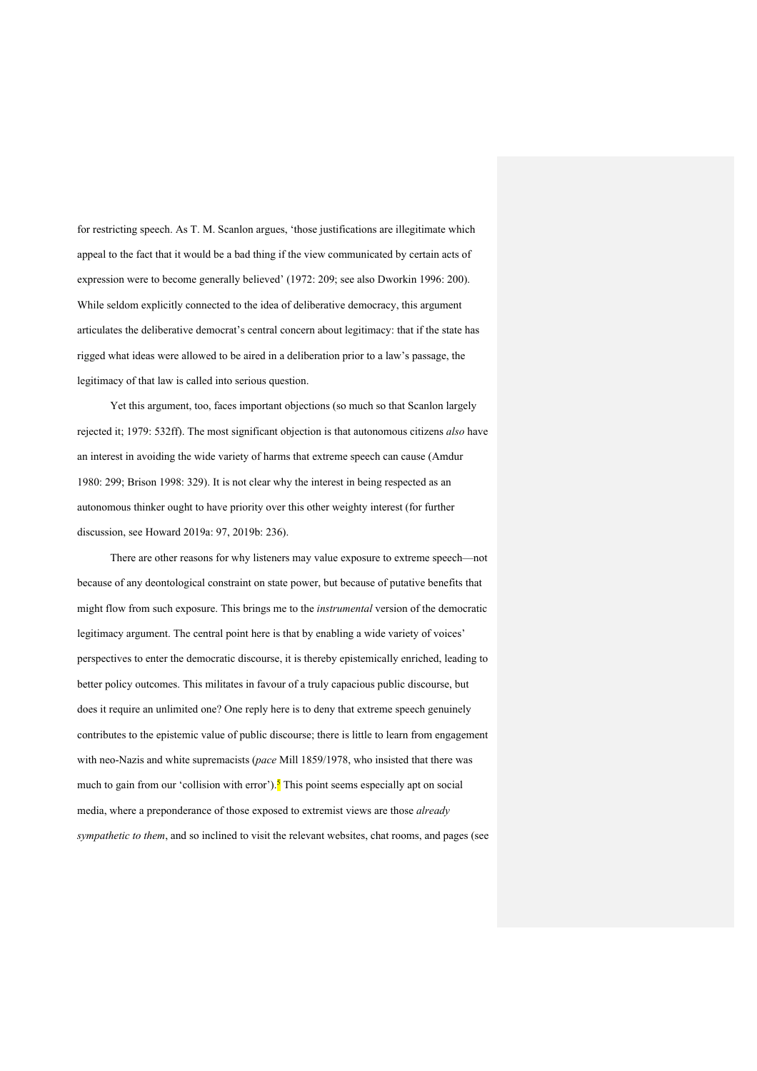for restricting speech. As T. M. Scanlon argues, 'those justifications are illegitimate which appeal to the fact that it would be a bad thing if the view communicated by certain acts of expression were to become generally believed' (1972: 209; see also Dworkin 1996: 200). While seldom explicitly connected to the idea of deliberative democracy, this argument articulates the deliberative democrat's central concern about legitimacy: that if the state has rigged what ideas were allowed to be aired in a deliberation prior to a law's passage, the legitimacy of that law is called into serious question.

Yet this argument, too, faces important objections (so much so that Scanlon largely rejected it; 1979: 532ff). The most significant objection is that autonomous citizens *also* have an interest in avoiding the wide variety of harms that extreme speech can cause (Amdur 1980: 299; Brison 1998: 329). It is not clear why the interest in being respected as an autonomous thinker ought to have priority over this other weighty interest (for further discussion, see Howard 2019a: 97, 2019b: 236).

There are other reasons for why listeners may value exposure to extreme speech—not because of any deontological constraint on state power, but because of putative benefits that might flow from such exposure. This brings me to the *instrumental* version of the democratic legitimacy argument. The central point here is that by enabling a wide variety of voices' perspectives to enter the democratic discourse, it is thereby epistemically enriched, leading to better policy outcomes. This militates in favour of a truly capacious public discourse, but does it require an unlimited one? One reply here is to deny that extreme speech genuinely contributes to the epistemic value of public discourse; there is little to learn from engagement with neo-Nazis and white supremacists (*pace* Mill 1859/1978, who insisted that there was much to gain from our 'collision with error').<sup>5</sup> This point seems especially apt on social media, where a preponderance of those exposed to extremist views are those *already sympathetic to them*, and so inclined to visit the relevant websites, chat rooms, and pages (see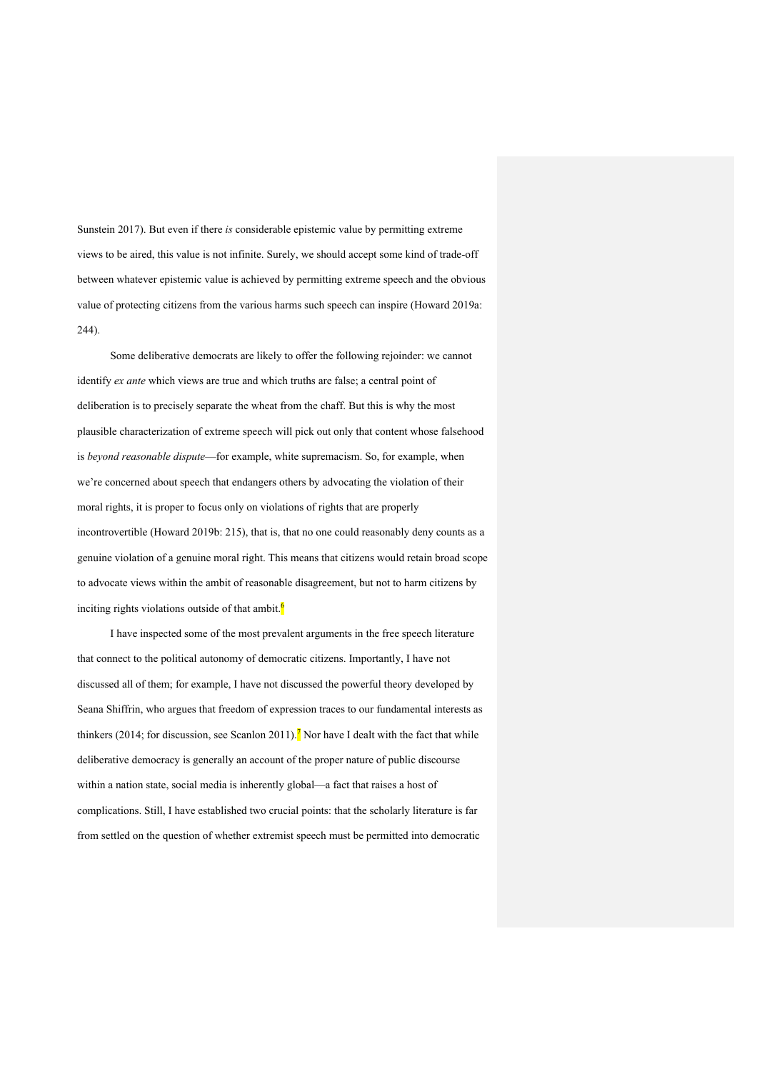Sunstein 2017). But even if there *is* considerable epistemic value by permitting extreme views to be aired, this value is not infinite. Surely, we should accept some kind of trade-off between whatever epistemic value is achieved by permitting extreme speech and the obvious value of protecting citizens from the various harms such speech can inspire (Howard 2019a: 244).

Some deliberative democrats are likely to offer the following rejoinder: we cannot identify *ex ante* which views are true and which truths are false; a central point of deliberation is to precisely separate the wheat from the chaff. But this is why the most plausible characterization of extreme speech will pick out only that content whose falsehood is *beyond reasonable dispute*—for example, white supremacism. So, for example, when we're concerned about speech that endangers others by advocating the violation of their moral rights, it is proper to focus only on violations of rights that are properly incontrovertible (Howard 2019b: 215), that is, that no one could reasonably deny counts as a genuine violation of a genuine moral right. This means that citizens would retain broad scope to advocate views within the ambit of reasonable disagreement, but not to harm citizens by inciting rights violations outside of that ambit. $6$ 

I have inspected some of the most prevalent arguments in the free speech literature that connect to the political autonomy of democratic citizens. Importantly, I have not discussed all of them; for example, I have not discussed the powerful theory developed by Seana Shiffrin, who argues that freedom of expression traces to our fundamental interests as thinkers (2014; for discussion, see Scanlon 2011).<sup>7</sup> Nor have I dealt with the fact that while deliberative democracy is generally an account of the proper nature of public discourse within a nation state, social media is inherently global—a fact that raises a host of complications. Still, I have established two crucial points: that the scholarly literature is far from settled on the question of whether extremist speech must be permitted into democratic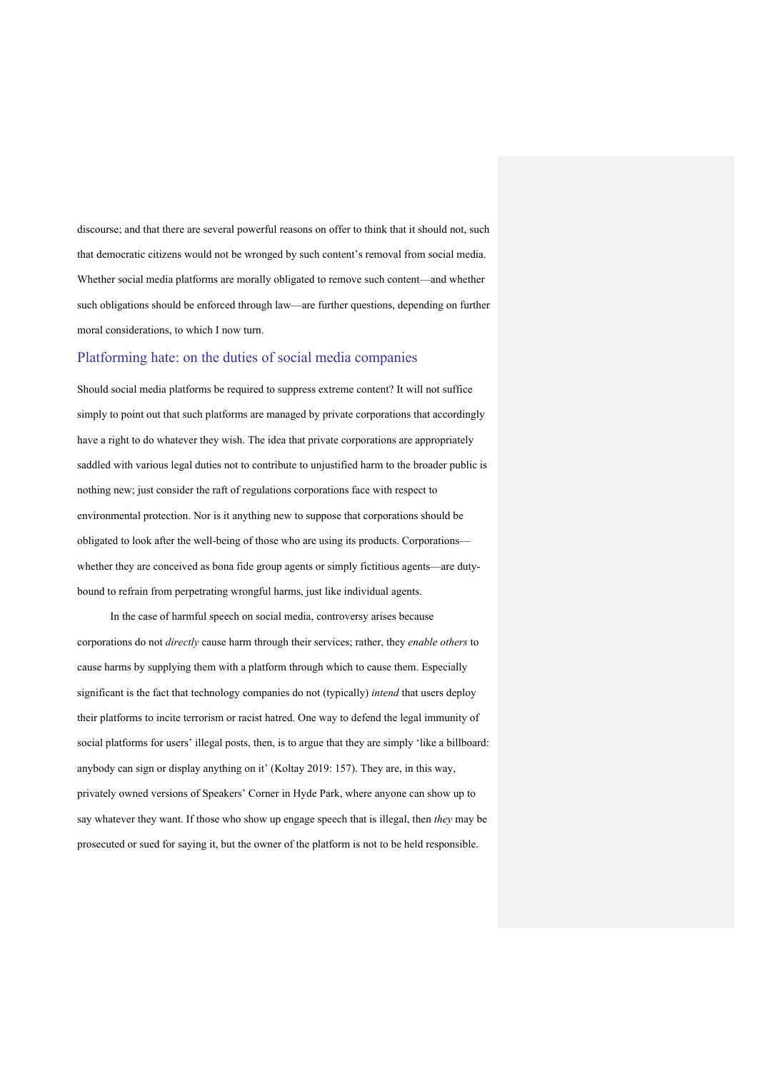discourse; and that there are several powerful reasons on offer to think that it should not, such that democratic citizens would not be wronged by such content's removal from social media. Whether social media platforms are morally obligated to remove such content—and whether such obligations should be enforced through law—are further questions, depending on further moral considerations, to which I now turn.

## Platforming hate: on the duties of social media companies

Should social media platforms be required to suppress extreme content? It will not suffice simply to point out that such platforms are managed by private corporations that accordingly have a right to do whatever they wish. The idea that private corporations are appropriately saddled with various legal duties not to contribute to unjustified harm to the broader public is nothing new; just consider the raft of regulations corporations face with respect to environmental protection. Nor is it anything new to suppose that corporations should be obligated to look after the well-being of those who are using its products. Corporations whether they are conceived as bona fide group agents or simply fictitious agents—are dutybound to refrain from perpetrating wrongful harms, just like individual agents.

In the case of harmful speech on social media, controversy arises because corporations do not *directly* cause harm through their services; rather, they *enable others* to cause harms by supplying them with a platform through which to cause them. Especially significant is the fact that technology companies do not (typically) *intend* that users deploy their platforms to incite terrorism or racist hatred. One way to defend the legal immunity of social platforms for users' illegal posts, then, is to argue that they are simply 'like a billboard: anybody can sign or display anything on it' (Koltay 2019: 157). They are, in this way, privately owned versions of Speakers' Corner in Hyde Park, where anyone can show up to say whatever they want. If those who show up engage speech that is illegal, then *they* may be prosecuted or sued for saying it, but the owner of the platform is not to be held responsible.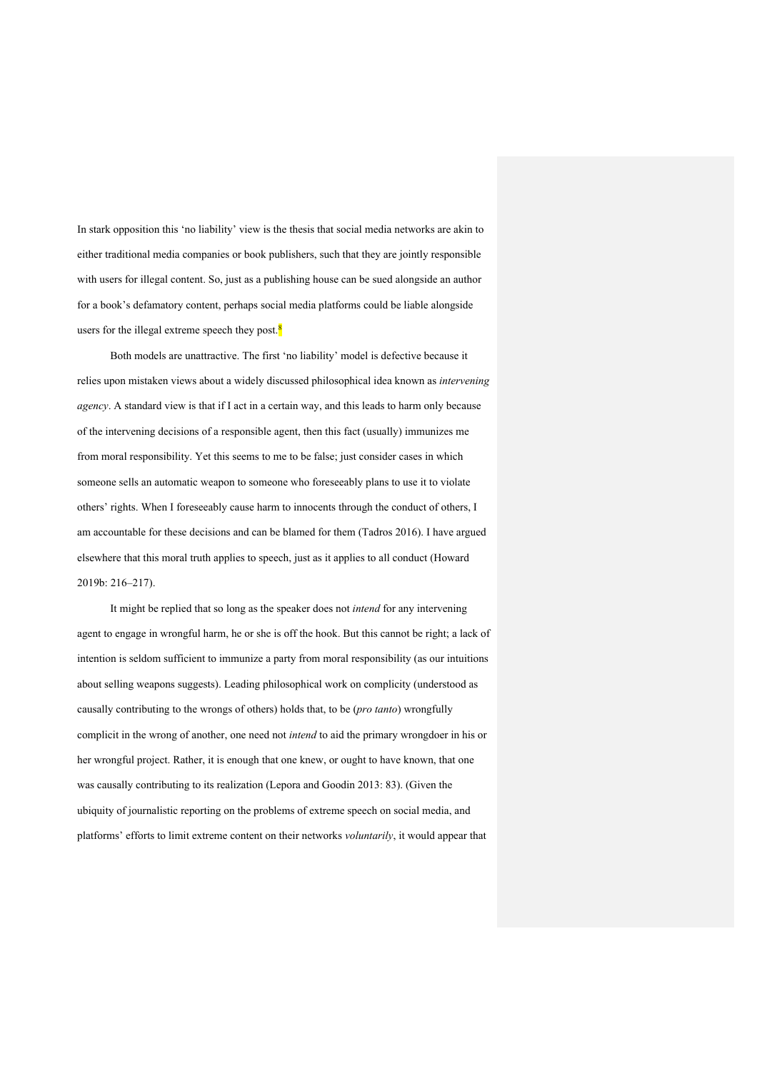In stark opposition this 'no liability' view is the thesis that social media networks are akin to either traditional media companies or book publishers, such that they are jointly responsible with users for illegal content. So, just as a publishing house can be sued alongside an author for a book's defamatory content, perhaps social media platforms could be liable alongside users for the illegal extreme speech they post. $8$ 

Both models are unattractive. The first 'no liability' model is defective because it relies upon mistaken views about a widely discussed philosophical idea known as *intervening agency*. A standard view is that if I act in a certain way, and this leads to harm only because of the intervening decisions of a responsible agent, then this fact (usually) immunizes me from moral responsibility. Yet this seems to me to be false; just consider cases in which someone sells an automatic weapon to someone who foreseeably plans to use it to violate others' rights. When I foreseeably cause harm to innocents through the conduct of others, I am accountable for these decisions and can be blamed for them (Tadros 2016). I have argued elsewhere that this moral truth applies to speech, just as it applies to all conduct (Howard 2019b: 216–217).

It might be replied that so long as the speaker does not *intend* for any intervening agent to engage in wrongful harm, he or she is off the hook. But this cannot be right; a lack of intention is seldom sufficient to immunize a party from moral responsibility (as our intuitions about selling weapons suggests). Leading philosophical work on complicity (understood as causally contributing to the wrongs of others) holds that, to be (*pro tanto*) wrongfully complicit in the wrong of another, one need not *intend* to aid the primary wrongdoer in his or her wrongful project. Rather, it is enough that one knew, or ought to have known, that one was causally contributing to its realization (Lepora and Goodin 2013: 83). (Given the ubiquity of journalistic reporting on the problems of extreme speech on social media, and platforms' efforts to limit extreme content on their networks *voluntarily*, it would appear that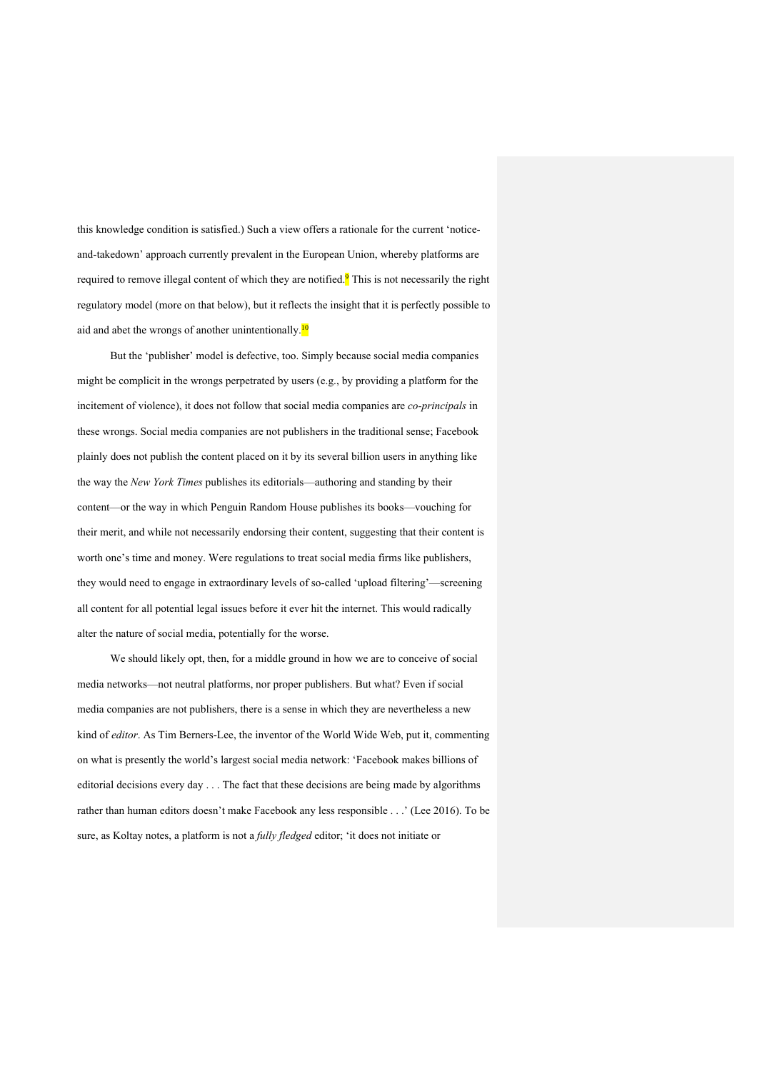this knowledge condition is satisfied.) Such a view offers a rationale for the current 'noticeand-takedown' approach currently prevalent in the European Union, whereby platforms are required to remove illegal content of which they are notified.<sup>9</sup> This is not necessarily the right regulatory model (more on that below), but it reflects the insight that it is perfectly possible to aid and abet the wrongs of another unintentionally.<sup>10</sup>

But the 'publisher' model is defective, too. Simply because social media companies might be complicit in the wrongs perpetrated by users (e.g., by providing a platform for the incitement of violence), it does not follow that social media companies are *co-principals* in these wrongs. Social media companies are not publishers in the traditional sense; Facebook plainly does not publish the content placed on it by its several billion users in anything like the way the *New York Times* publishes its editorials—authoring and standing by their content—or the way in which Penguin Random House publishes its books—vouching for their merit, and while not necessarily endorsing their content, suggesting that their content is worth one's time and money. Were regulations to treat social media firms like publishers, they would need to engage in extraordinary levels of so-called 'upload filtering'—screening all content for all potential legal issues before it ever hit the internet. This would radically alter the nature of social media, potentially for the worse.

We should likely opt, then, for a middle ground in how we are to conceive of social media networks—not neutral platforms, nor proper publishers. But what? Even if social media companies are not publishers, there is a sense in which they are nevertheless a new kind of *editor*. As Tim Berners-Lee, the inventor of the World Wide Web, put it, commenting on what is presently the world's largest social media network: 'Facebook makes billions of editorial decisions every day . . . The fact that these decisions are being made by algorithms rather than human editors doesn't make Facebook any less responsible . . .' (Lee 2016). To be sure, as Koltay notes, a platform is not a *fully fledged* editor; 'it does not initiate or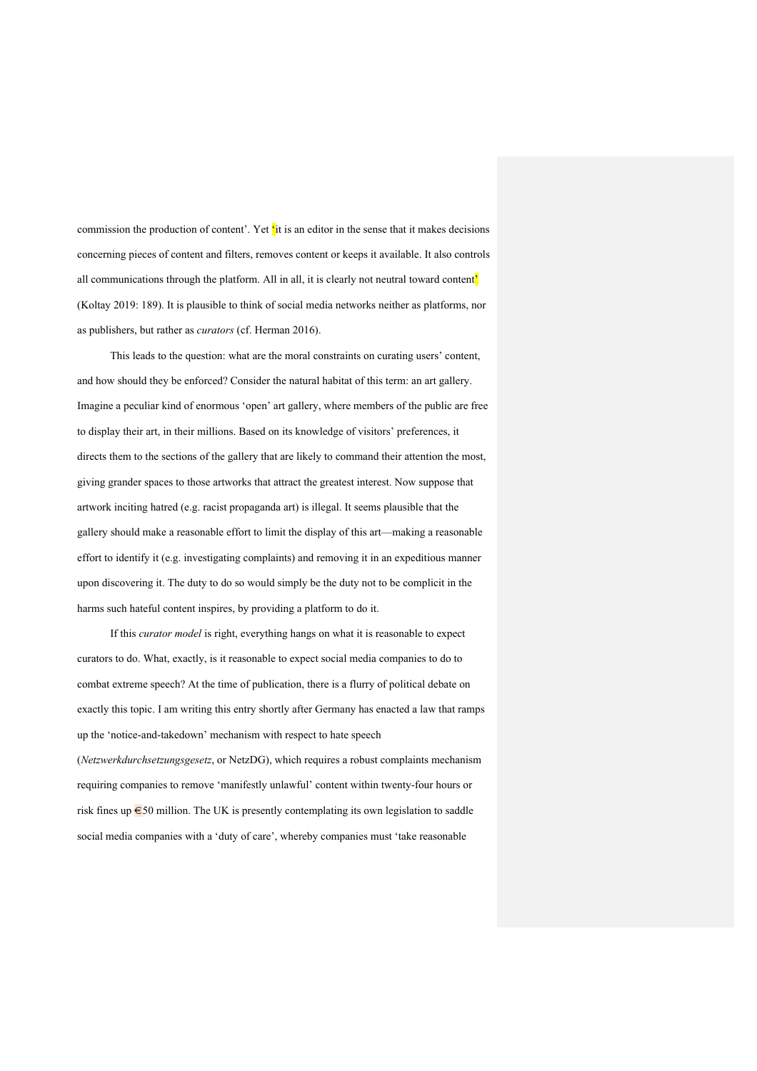commission the production of content'. Yet <sup>t</sup>it is an editor in the sense that it makes decisions concerning pieces of content and filters, removes content or keeps it available. It also controls all communications through the platform. All in all, it is clearly not neutral toward content' (Koltay 2019: 189). It is plausible to think of social media networks neither as platforms, nor as publishers, but rather as *curators* (cf. Herman 2016).

This leads to the question: what are the moral constraints on curating users' content, and how should they be enforced? Consider the natural habitat of this term: an art gallery. Imagine a peculiar kind of enormous 'open' art gallery, where members of the public are free to display their art, in their millions. Based on its knowledge of visitors' preferences, it directs them to the sections of the gallery that are likely to command their attention the most, giving grander spaces to those artworks that attract the greatest interest. Now suppose that artwork inciting hatred (e.g. racist propaganda art) is illegal. It seems plausible that the gallery should make a reasonable effort to limit the display of this art—making a reasonable effort to identify it (e.g. investigating complaints) and removing it in an expeditious manner upon discovering it. The duty to do so would simply be the duty not to be complicit in the harms such hateful content inspires, by providing a platform to do it.

If this *curator model* is right, everything hangs on what it is reasonable to expect curators to do. What, exactly, is it reasonable to expect social media companies to do to combat extreme speech? At the time of publication, there is a flurry of political debate on exactly this topic. I am writing this entry shortly after Germany has enacted a law that ramps up the 'notice-and-takedown' mechanism with respect to hate speech (*Netzwerkdurchsetzungsgesetz*, or NetzDG), which requires a robust complaints mechanism requiring companies to remove 'manifestly unlawful' content within twenty-four hours or risk fines up  $\epsilon$  50 million. The UK is presently contemplating its own legislation to saddle social media companies with a 'duty of care', whereby companies must 'take reasonable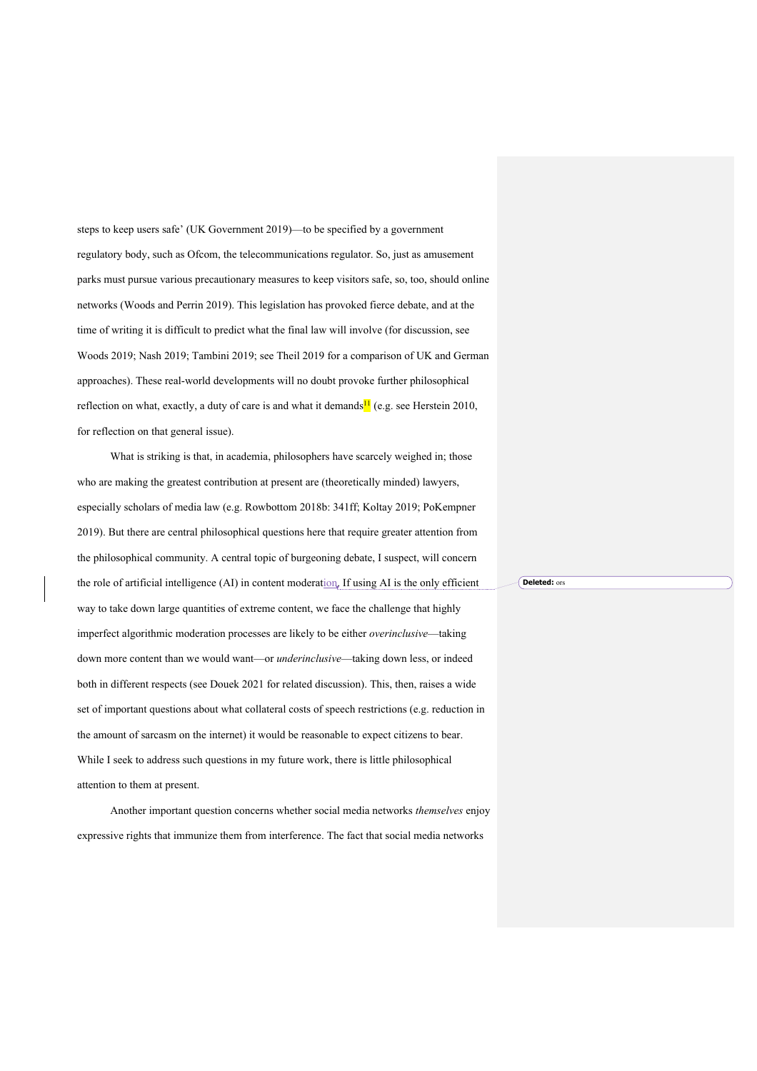steps to keep users safe' (UK Government 2019)—to be specified by a government regulatory body, such as Ofcom, the telecommunications regulator. So, just as amusement parks must pursue various precautionary measures to keep visitors safe, so, too, should online networks (Woods and Perrin 2019). This legislation has provoked fierce debate, and at the time of writing it is difficult to predict what the final law will involve (for discussion, see Woods 2019; Nash 2019; Tambini 2019; see Theil 2019 for a comparison of UK and German approaches). These real-world developments will no doubt provoke further philosophical reflection on what, exactly, a duty of care is and what it demands<sup>11</sup> (e.g. see Herstein 2010, for reflection on that general issue).

What is striking is that, in academia, philosophers have scarcely weighed in; those who are making the greatest contribution at present are (theoretically minded) lawyers, especially scholars of media law (e.g. Rowbottom 2018b: 341ff; Koltay 2019; PoKempner 2019). But there are central philosophical questions here that require greater attention from the philosophical community. A central topic of burgeoning debate, I suspect, will concern the role of artificial intelligence (AI) in content moderation. If using AI is the only efficient way to take down large quantities of extreme content, we face the challenge that highly imperfect algorithmic moderation processes are likely to be either *overinclusive*—taking down more content than we would want—or *underinclusive*—taking down less, or indeed both in different respects (see Douek 2021 for related discussion). This, then, raises a wide set of important questions about what collateral costs of speech restrictions (e.g. reduction in the amount of sarcasm on the internet) it would be reasonable to expect citizens to bear. While I seek to address such questions in my future work, there is little philosophical attention to them at present.

Another important question concerns whether social media networks *themselves* enjoy expressive rights that immunize them from interference. The fact that social media networks

**Deleted:** ors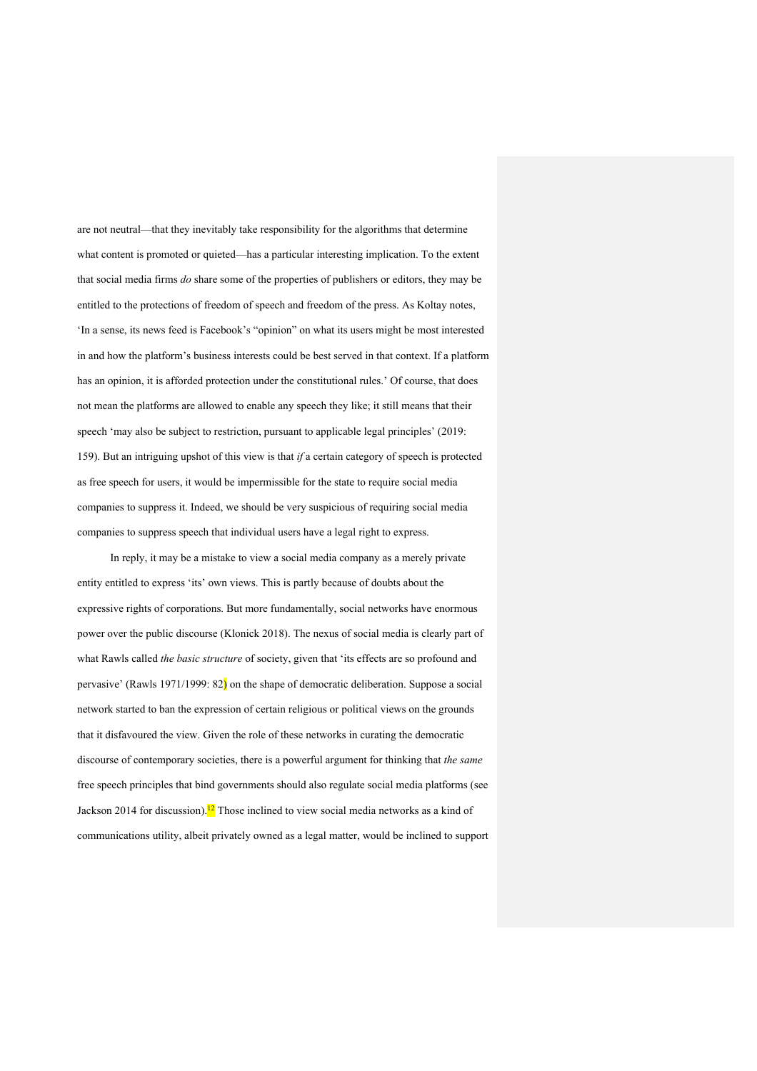are not neutral—that they inevitably take responsibility for the algorithms that determine what content is promoted or quieted—has a particular interesting implication. To the extent that social media firms *do* share some of the properties of publishers or editors, they may be entitled to the protections of freedom of speech and freedom of the press. As Koltay notes, 'In a sense, its news feed is Facebook's "opinion" on what its users might be most interested in and how the platform's business interests could be best served in that context. If a platform has an opinion, it is afforded protection under the constitutional rules.' Of course, that does not mean the platforms are allowed to enable any speech they like; it still means that their speech 'may also be subject to restriction, pursuant to applicable legal principles' (2019: 159). But an intriguing upshot of this view is that *if* a certain category of speech is protected as free speech for users, it would be impermissible for the state to require social media companies to suppress it. Indeed, we should be very suspicious of requiring social media companies to suppress speech that individual users have a legal right to express.

In reply, it may be a mistake to view a social media company as a merely private entity entitled to express 'its' own views. This is partly because of doubts about the expressive rights of corporations. But more fundamentally, social networks have enormous power over the public discourse (Klonick 2018). The nexus of social media is clearly part of what Rawls called *the basic structure* of society, given that 'its effects are so profound and pervasive' (Rawls 1971/1999: 82) on the shape of democratic deliberation. Suppose a social network started to ban the expression of certain religious or political views on the grounds that it disfavoured the view. Given the role of these networks in curating the democratic discourse of contemporary societies, there is a powerful argument for thinking that *the same*  free speech principles that bind governments should also regulate social media platforms (see Jackson 2014 for discussion).<sup>12</sup> Those inclined to view social media networks as a kind of communications utility, albeit privately owned as a legal matter, would be inclined to support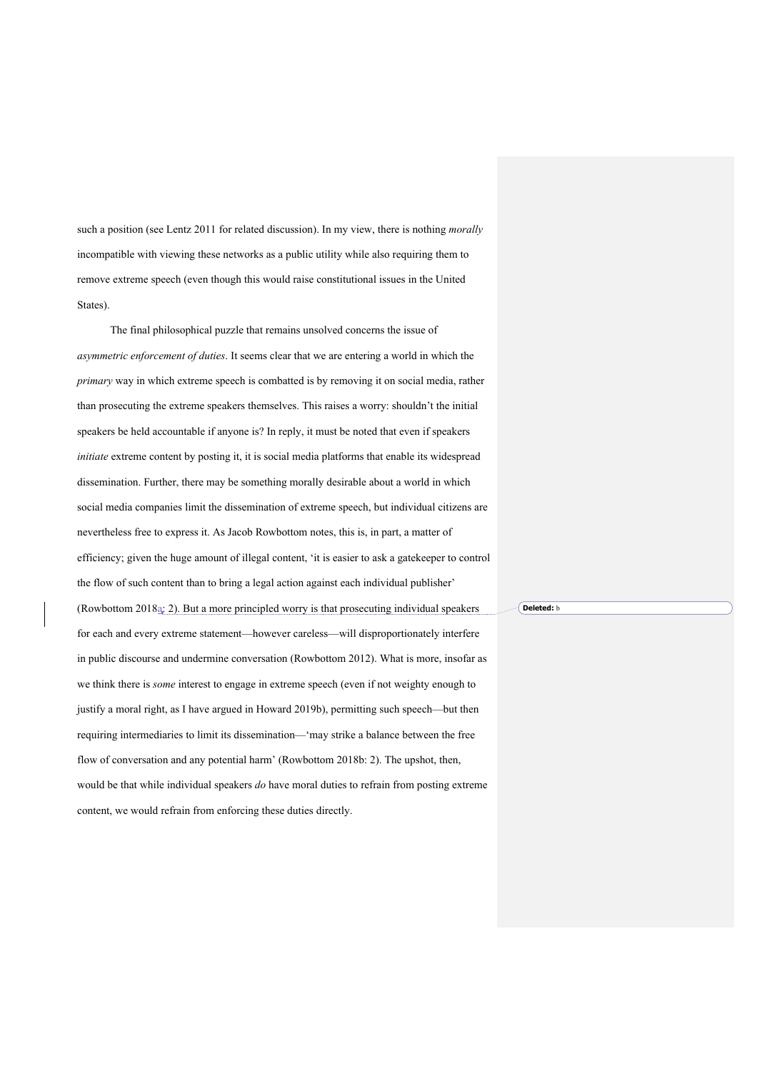such a position (see Lentz 2011 for related discussion). In my view, there is nothing *morally*  incompatible with viewing these networks as a public utility while also requiring them to remove extreme speech (even though this would raise constitutional issues in the United States).

The final philosophical puzzle that remains unsolved concerns the issue of *asymmetric enforcement of duties*. It seems clear that we are entering a world in which the *primary* way in which extreme speech is combatted is by removing it on social media, rather than prosecuting the extreme speakers themselves. This raises a worry: shouldn't the initial speakers be held accountable if anyone is? In reply, it must be noted that even if speakers *initiate* extreme content by posting it, it is social media platforms that enable its widespread dissemination. Further, there may be something morally desirable about a world in which social media companies limit the dissemination of extreme speech, but individual citizens are nevertheless free to express it. As Jacob Rowbottom notes, this is, in part, a matter of efficiency; given the huge amount of illegal content, 'it is easier to ask a gatekeeper to control the flow of such content than to bring a legal action against each individual publisher' (Rowbottom 2018a: 2). But a more principled worry is that prosecuting individual speakers for each and every extreme statement—however careless—will disproportionately interfere in public discourse and undermine conversation (Rowbottom 2012). What is more, insofar as we think there is *some* interest to engage in extreme speech (even if not weighty enough to justify a moral right, as I have argued in Howard 2019b), permitting such speech—but then requiring intermediaries to limit its dissemination—'may strike a balance between the free flow of conversation and any potential harm' (Rowbottom 2018b: 2). The upshot, then, would be that while individual speakers *do* have moral duties to refrain from posting extreme content, we would refrain from enforcing these duties directly.

**Deleted:** b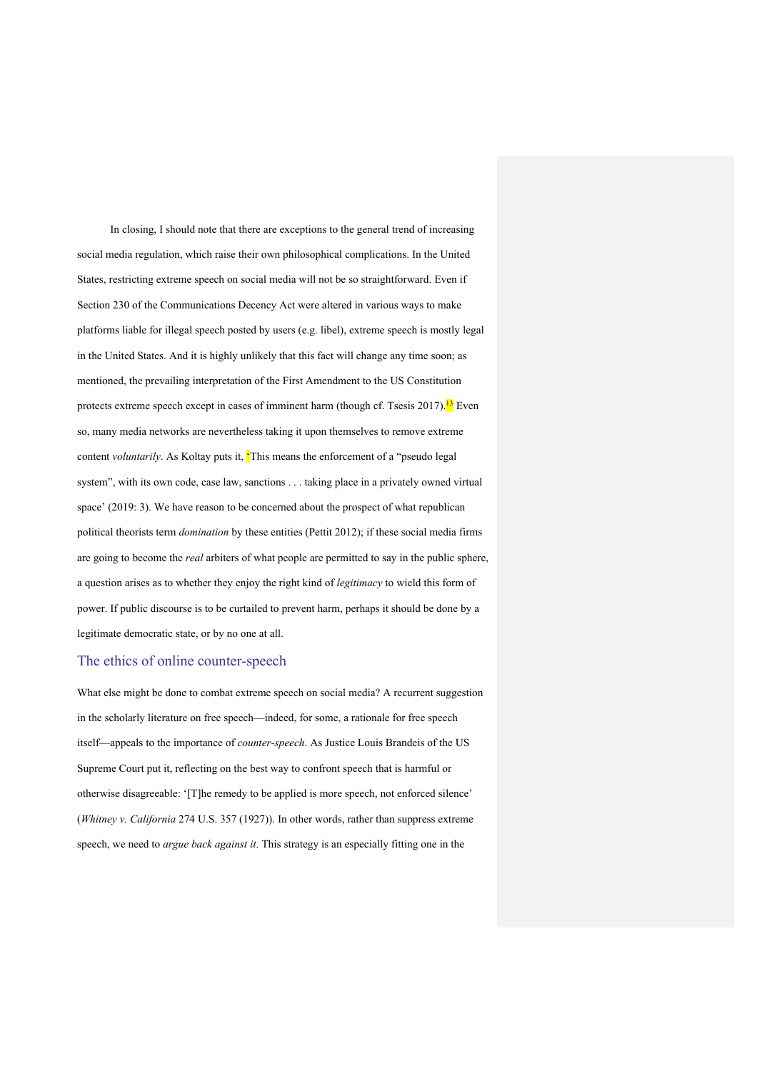In closing, I should note that there are exceptions to the general trend of increasing social media regulation, which raise their own philosophical complications. In the United States, restricting extreme speech on social media will not be so straightforward. Even if Section 230 of the Communications Decency Act were altered in various ways to make platforms liable for illegal speech posted by users (e.g. libel), extreme speech is mostly legal in the United States. And it is highly unlikely that this fact will change any time soon; as mentioned, the prevailing interpretation of the First Amendment to the US Constitution protects extreme speech except in cases of imminent harm (though cf. Tsesis 2017).<sup>13</sup> Even so, many media networks are nevertheless taking it upon themselves to remove extreme content *voluntarily*. As Koltay puts it, <sup>'</sup>This means the enforcement of a "pseudo legal" system", with its own code, case law, sanctions . . . taking place in a privately owned virtual space' (2019: 3). We have reason to be concerned about the prospect of what republican political theorists term *domination* by these entities (Pettit 2012); if these social media firms are going to become the *real* arbiters of what people are permitted to say in the public sphere, a question arises as to whether they enjoy the right kind of *legitimacy* to wield this form of power. If public discourse is to be curtailed to prevent harm, perhaps it should be done by a legitimate democratic state, or by no one at all.

# The ethics of online counter-speech

What else might be done to combat extreme speech on social media? A recurrent suggestion in the scholarly literature on free speech—indeed, for some, a rationale for free speech itself—appeals to the importance of *counter-speech*. As Justice Louis Brandeis of the US Supreme Court put it, reflecting on the best way to confront speech that is harmful or otherwise disagreeable: '[T]he remedy to be applied is more speech, not enforced silence' (*Whitney v. California* 274 U.S. 357 (1927)). In other words, rather than suppress extreme speech, we need to *argue back against it*. This strategy is an especially fitting one in the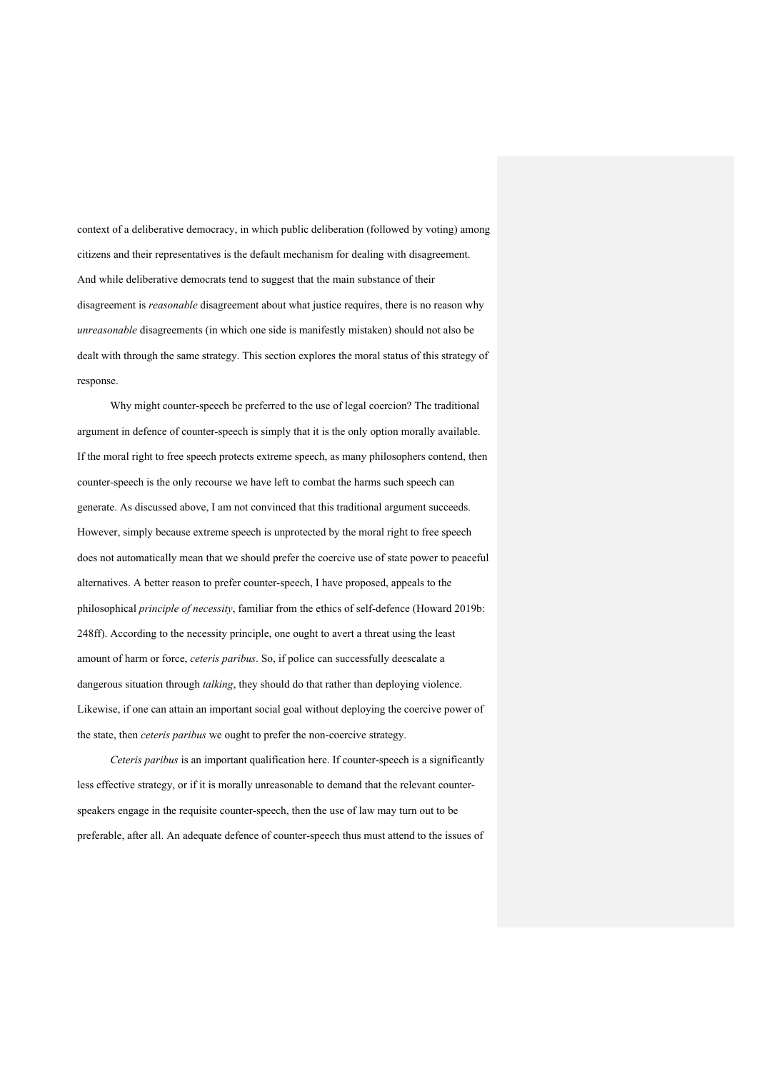context of a deliberative democracy, in which public deliberation (followed by voting) among citizens and their representatives is the default mechanism for dealing with disagreement. And while deliberative democrats tend to suggest that the main substance of their disagreement is *reasonable* disagreement about what justice requires, there is no reason why *unreasonable* disagreements (in which one side is manifestly mistaken) should not also be dealt with through the same strategy. This section explores the moral status of this strategy of response.

Why might counter-speech be preferred to the use of legal coercion? The traditional argument in defence of counter-speech is simply that it is the only option morally available. If the moral right to free speech protects extreme speech, as many philosophers contend, then counter-speech is the only recourse we have left to combat the harms such speech can generate. As discussed above, I am not convinced that this traditional argument succeeds. However, simply because extreme speech is unprotected by the moral right to free speech does not automatically mean that we should prefer the coercive use of state power to peaceful alternatives. A better reason to prefer counter-speech, I have proposed, appeals to the philosophical *principle of necessity*, familiar from the ethics of self-defence (Howard 2019b: 248ff). According to the necessity principle, one ought to avert a threat using the least amount of harm or force, *ceteris paribus*. So, if police can successfully deescalate a dangerous situation through *talking*, they should do that rather than deploying violence. Likewise, if one can attain an important social goal without deploying the coercive power of the state, then *ceteris paribus* we ought to prefer the non-coercive strategy.

*Ceteris paribus* is an important qualification here. If counter-speech is a significantly less effective strategy, or if it is morally unreasonable to demand that the relevant counterspeakers engage in the requisite counter-speech, then the use of law may turn out to be preferable, after all. An adequate defence of counter-speech thus must attend to the issues of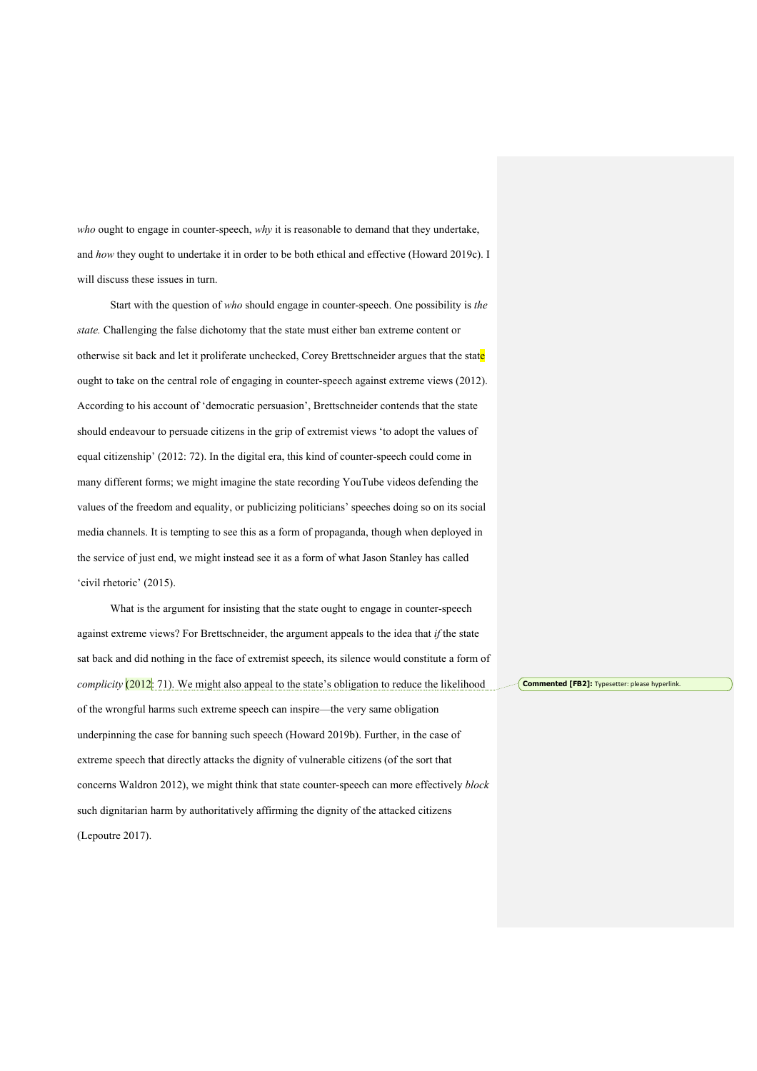*who* ought to engage in counter-speech, *why* it is reasonable to demand that they undertake, and *how* they ought to undertake it in order to be both ethical and effective (Howard 2019c). I will discuss these issues in turn.

Start with the question of *who* should engage in counter-speech. One possibility is *the state.* Challenging the false dichotomy that the state must either ban extreme content or otherwise sit back and let it proliferate unchecked, Corey Brettschneider argues that the state ought to take on the central role of engaging in counter-speech against extreme views (2012). According to his account of 'democratic persuasion', Brettschneider contends that the state should endeavour to persuade citizens in the grip of extremist views 'to adopt the values of equal citizenship' (2012: 72). In the digital era, this kind of counter-speech could come in many different forms; we might imagine the state recording YouTube videos defending the values of the freedom and equality, or publicizing politicians' speeches doing so on its social media channels. It is tempting to see this as a form of propaganda, though when deployed in the service of just end, we might instead see it as a form of what Jason Stanley has called 'civil rhetoric' (2015).

What is the argument for insisting that the state ought to engage in counter-speech against extreme views? For Brettschneider, the argument appeals to the idea that *if* the state sat back and did nothing in the face of extremist speech, its silence would constitute a form of *complicity* (2012: 71). We might also appeal to the state's obligation to reduce the likelihood of the wrongful harms such extreme speech can inspire—the very same obligation underpinning the case for banning such speech (Howard 2019b). Further, in the case of extreme speech that directly attacks the dignity of vulnerable citizens (of the sort that concerns Waldron 2012), we might think that state counter-speech can more effectively *block*  such dignitarian harm by authoritatively affirming the dignity of the attacked citizens (Lepoutre 2017).

**Commented [FB2]:** Typesetter: please hyperlink.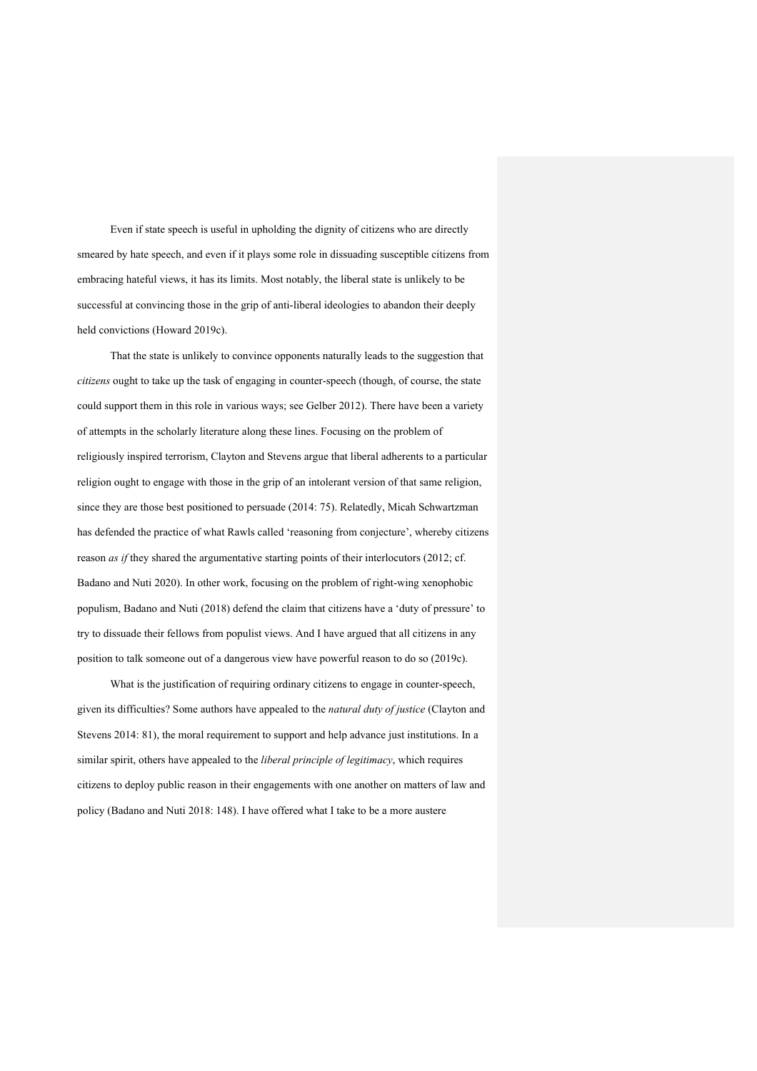Even if state speech is useful in upholding the dignity of citizens who are directly smeared by hate speech, and even if it plays some role in dissuading susceptible citizens from embracing hateful views, it has its limits. Most notably, the liberal state is unlikely to be successful at convincing those in the grip of anti-liberal ideologies to abandon their deeply held convictions (Howard 2019c).

That the state is unlikely to convince opponents naturally leads to the suggestion that *citizens* ought to take up the task of engaging in counter-speech (though, of course, the state could support them in this role in various ways; see Gelber 2012). There have been a variety of attempts in the scholarly literature along these lines. Focusing on the problem of religiously inspired terrorism, Clayton and Stevens argue that liberal adherents to a particular religion ought to engage with those in the grip of an intolerant version of that same religion, since they are those best positioned to persuade (2014: 75). Relatedly, Micah Schwartzman has defended the practice of what Rawls called 'reasoning from conjecture', whereby citizens reason *as if* they shared the argumentative starting points of their interlocutors (2012; cf. Badano and Nuti 2020). In other work, focusing on the problem of right-wing xenophobic populism, Badano and Nuti (2018) defend the claim that citizens have a 'duty of pressure' to try to dissuade their fellows from populist views. And I have argued that all citizens in any position to talk someone out of a dangerous view have powerful reason to do so (2019c).

What is the justification of requiring ordinary citizens to engage in counter-speech, given its difficulties? Some authors have appealed to the *natural duty of justice* (Clayton and Stevens 2014: 81), the moral requirement to support and help advance just institutions. In a similar spirit, others have appealed to the *liberal principle of legitimacy*, which requires citizens to deploy public reason in their engagements with one another on matters of law and policy (Badano and Nuti 2018: 148). I have offered what I take to be a more austere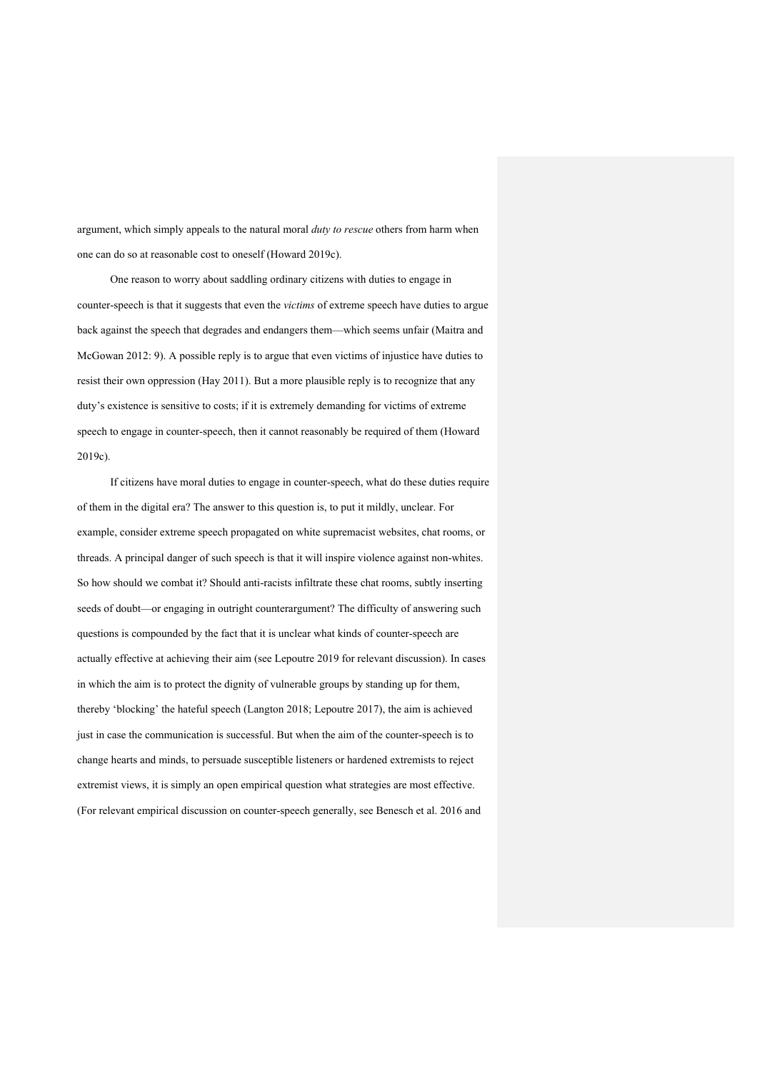argument, which simply appeals to the natural moral *duty to rescue* others from harm when one can do so at reasonable cost to oneself (Howard 2019c).

One reason to worry about saddling ordinary citizens with duties to engage in counter-speech is that it suggests that even the *victims* of extreme speech have duties to argue back against the speech that degrades and endangers them—which seems unfair (Maitra and McGowan 2012: 9). A possible reply is to argue that even victims of injustice have duties to resist their own oppression (Hay 2011). But a more plausible reply is to recognize that any duty's existence is sensitive to costs; if it is extremely demanding for victims of extreme speech to engage in counter-speech, then it cannot reasonably be required of them (Howard 2019c).

If citizens have moral duties to engage in counter-speech, what do these duties require of them in the digital era? The answer to this question is, to put it mildly, unclear. For example, consider extreme speech propagated on white supremacist websites, chat rooms, or threads. A principal danger of such speech is that it will inspire violence against non-whites. So how should we combat it? Should anti-racists infiltrate these chat rooms, subtly inserting seeds of doubt—or engaging in outright counterargument? The difficulty of answering such questions is compounded by the fact that it is unclear what kinds of counter-speech are actually effective at achieving their aim (see Lepoutre 2019 for relevant discussion). In cases in which the aim is to protect the dignity of vulnerable groups by standing up for them, thereby 'blocking' the hateful speech (Langton 2018; Lepoutre 2017), the aim is achieved just in case the communication is successful. But when the aim of the counter-speech is to change hearts and minds, to persuade susceptible listeners or hardened extremists to reject extremist views, it is simply an open empirical question what strategies are most effective. (For relevant empirical discussion on counter-speech generally, see Benesch et al. 2016 and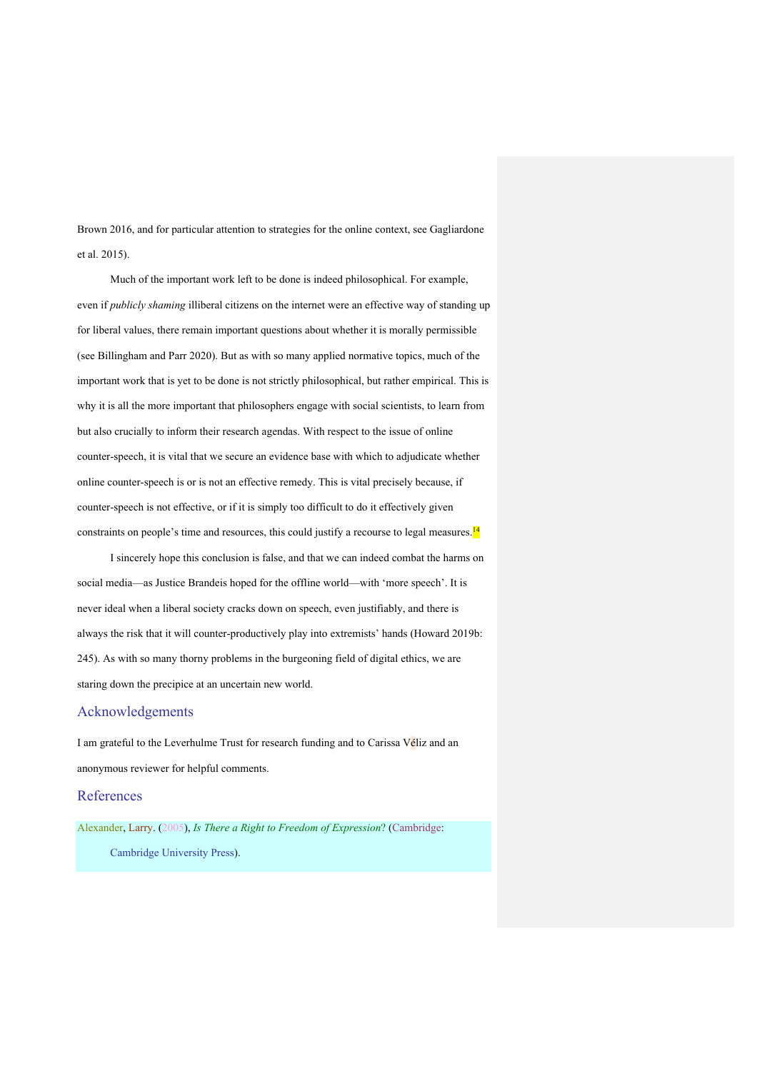Brown 2016, and for particular attention to strategies for the online context, see Gagliardone et al. 2015).

Much of the important work left to be done is indeed philosophical. For example, even if *publicly shaming* illiberal citizens on the internet were an effective way of standing up for liberal values, there remain important questions about whether it is morally permissible (see Billingham and Parr 2020). But as with so many applied normative topics, much of the important work that is yet to be done is not strictly philosophical, but rather empirical. This is why it is all the more important that philosophers engage with social scientists, to learn from but also crucially to inform their research agendas. With respect to the issue of online counter-speech, it is vital that we secure an evidence base with which to adjudicate whether online counter-speech is or is not an effective remedy. This is vital precisely because, if counter-speech is not effective, or if it is simply too difficult to do it effectively given constraints on people's time and resources, this could justify a recourse to legal measures.<sup>14</sup>

I sincerely hope this conclusion is false, and that we can indeed combat the harms on social media—as Justice Brandeis hoped for the offline world—with 'more speech'. It is never ideal when a liberal society cracks down on speech, even justifiably, and there is always the risk that it will counter-productively play into extremists' hands (Howard 2019b: 245). As with so many thorny problems in the burgeoning field of digital ethics, we are staring down the precipice at an uncertain new world.

### Acknowledgements

I am grateful to the Leverhulme Trust for research funding and to Carissa Véliz and an anonymous reviewer for helpful comments.

### References

Alexander, Larry. (2005), *Is There a Right to Freedom of Expression*? (Cambridge: Cambridge University Press).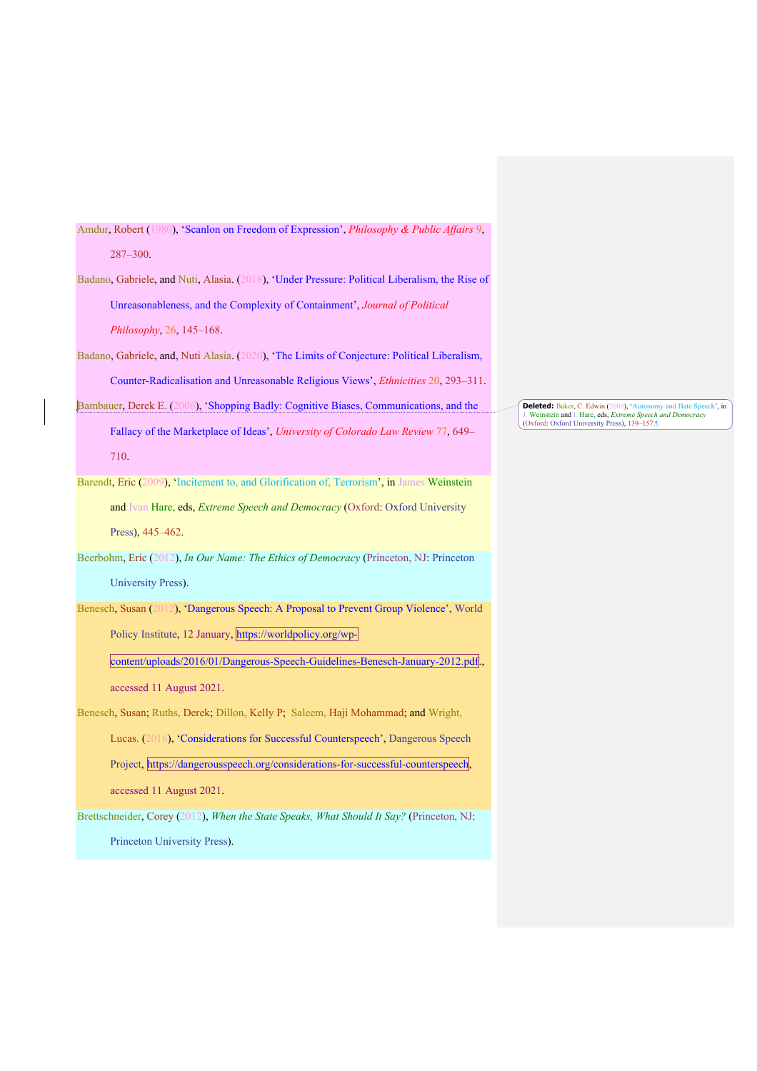Amdur, Robert (1980), 'Scanlon on Freedom of Expression', *Philosophy & Public Affairs* 9, 287–300.

- Badano, Gabriele, and Nuti, Alasia. (2018), 'Under Pressure: Political Liberalism, the Rise of Unreasonableness, and the Complexity of Containment', *Journal of Political Philosophy*, 26, 145–168.
- Badano, Gabriele, and, Nuti Alasia. (2020), 'The Limits of Conjecture: Political Liberalism, Counter-Radicalisation and Unreasonable Religious Views', *Ethnicities* 20, 293–311.
- Bambauer, Derek E. (2006), 'Shopping Badly: Cognitive Biases, Communications, and the Fallacy of the Marketplace of Ideas', *University of Colorado Law Review* 77, 649– 710.
- Barendt, Eric (2009), 'Incitement to, and Glorification of, Terrorism', in James Weinstein and Ivan Hare, eds, *Extreme Speech and Democracy* (Oxford: Oxford University Press), 445–462.
- Beerbohm, Eric (2012), *In Our Name: The Ethics of Democracy* (Princeton, NJ: Princeton University Press).
- Benesch, Susan (2012), 'Dangerous Speech: A Proposal to Prevent Group Violence', World Policy Institute, 12 January, https://worldpolicy.org/wp-

content/uploads/2016/01/Dangerous-Speech-Guidelines-Benesch-January-2012.pdf.,

accessed 11 August 2021.

Benesch, Susan; Ruths, Derek; Dillon, Kelly P; Saleem, Haji Mohammad; and Wright,

Lucas. (2016), 'Considerations for Successful Counterspeech', Dangerous Speech Project, https://dangerousspeech.org/considerations-for-successful-counterspeech, accessed 11 August 2021.

Brettschneider, Corey (2012), *When the State Speaks, What Should It Say?* (Princeton, NJ: Princeton University Press).

**Deleted:** Baker, C. Edwin (2009), 'Autonomy and Hate Speech', in J. Weinstein and I. Hare, eds, *Extreme Speech and Democracy* (Oxford: Oxford University Press), 139–157.¶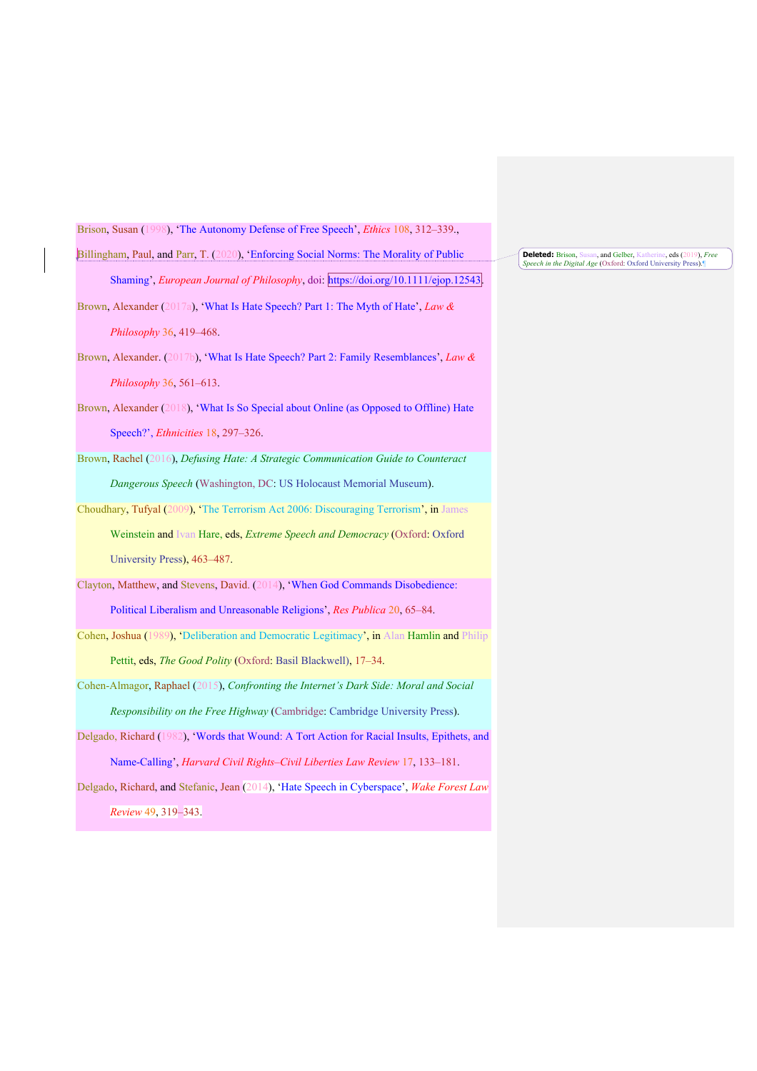Brison, Susan (1998), 'The Autonomy Defense of Free Speech', *Ethics* 108, 312–339., Billingham, Paul, and Parr, T. (2020), 'Enforcing Social Norms: The Morality of Public Shaming', *European Journal of Philosophy*, doi: https://doi.org/10.1111/ejop.12543.

- Brown, Alexander (2017a), 'What Is Hate Speech? Part 1: The Myth of Hate', *Law & Philosophy* 36, 419–468.
- Brown, Alexander. (2017b), 'What Is Hate Speech? Part 2: Family Resemblances', *Law & Philosophy* 36, 561–613.
- Brown, Alexander (2018), 'What Is So Special about Online (as Opposed to Offline) Hate Speech?', *Ethnicities* 18, 297–326.
- Brown, Rachel (2016), *Defusing Hate: A Strategic Communication Guide to Counteract Dangerous Speech* (Washington, DC: US Holocaust Memorial Museum).
- Choudhary, Tufyal (2009), 'The Terrorism Act 2006: Discouraging Terrorism', in James Weinstein and Ivan Hare, eds, *Extreme Speech and Democracy* (Oxford: Oxford University Press), 463–487.
- Clayton, Matthew, and Stevens, David. (2014), 'When God Commands Disobedience: Political Liberalism and Unreasonable Religions', *Res Publica* 20, 65–84.
- Cohen, Joshua (1989), 'Deliberation and Democratic Legitimacy', in Alan Hamlin and Philip Pettit, eds, *The Good Polity* (Oxford: Basil Blackwell), 17–34.
- Cohen-Almagor, Raphael (2015), *Confronting the Internet's Dark Side: Moral and Social Responsibility on the Free Highway* (Cambridge: Cambridge University Press).
- Delgado, Richard (1982), 'Words that Wound: A Tort Action for Racial Insults, Epithets, and Name-Calling', *Harvard Civil Rights–Civil Liberties Law Review* 17, 133–181.
- Delgado, Richard, and Stefanic, Jean (2014), 'Hate Speech in Cyberspace', *Wake Forest Law*

*Review* 49, 319–343.

**Deleted:** Brison, Susan, and Gelber, Katherine, eds (2019), *Free Speech in the Digital Age* (Oxford: Oxford University Press).¶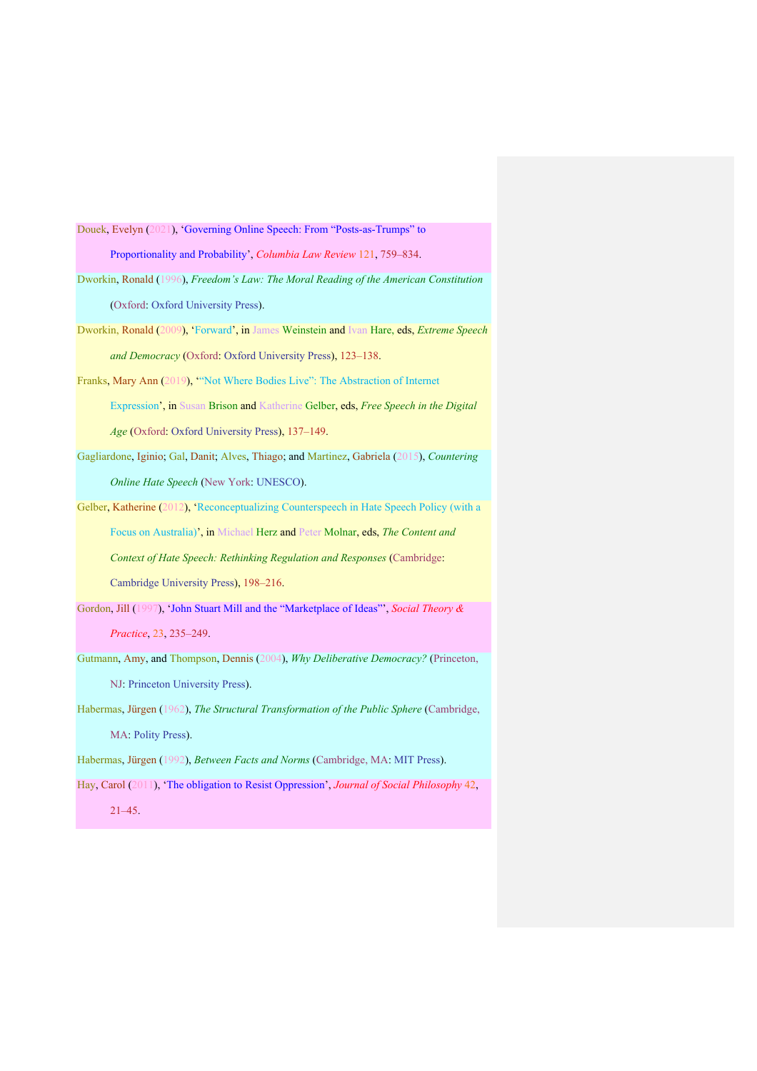Douek, Evelyn (2021), 'Governing Online Speech: From "Posts-as-Trumps" to

Proportionality and Probability', *Columbia Law Review* 121, 759–834.

- Dworkin, Ronald (1996), *Freedom's Law: The Moral Reading of the American Constitution* (Oxford: Oxford University Press).
- Dworkin, Ronald (2009), 'Forward', in James Weinstein and Ivan Hare, eds, *Extreme Speech and Democracy* (Oxford: Oxford University Press), 123–138.
- Franks, Mary Ann (2019), '"Not Where Bodies Live": The Abstraction of Internet

Expression', in Susan Brison and Katherine Gelber, eds, *Free Speech in the Digital Age* (Oxford: Oxford University Press), 137–149.

- Gagliardone, Iginio; Gal, Danit; Alves, Thiago; and Martinez, Gabriela (2015), *Countering Online Hate Speech* (New York: UNESCO).
- Gelber, Katherine (2012), 'Reconceptualizing Counterspeech in Hate Speech Policy (with a Focus on Australia)', in Michael Herz and Peter Molnar, eds, *The Content and Context of Hate Speech: Rethinking Regulation and Responses* (Cambridge: Cambridge University Press), 198–216.
- Gordon, Jill (1997), 'John Stuart Mill and the "Marketplace of Ideas"', *Social Theory & Practice*, 23, 235–249.
- Gutmann, Amy, and Thompson, Dennis (2004), *Why Deliberative Democracy?* (Princeton, NJ: Princeton University Press).
- Habermas, Jürgen (1962), *The Structural Transformation of the Public Sphere* (Cambridge, MA: Polity Press).

Habermas, Jürgen (1992), *Between Facts and Norms* (Cambridge, MA: MIT Press).

Hay, Carol (2011), 'The obligation to Resist Oppression', *Journal of Social Philosophy* 42, 21–45.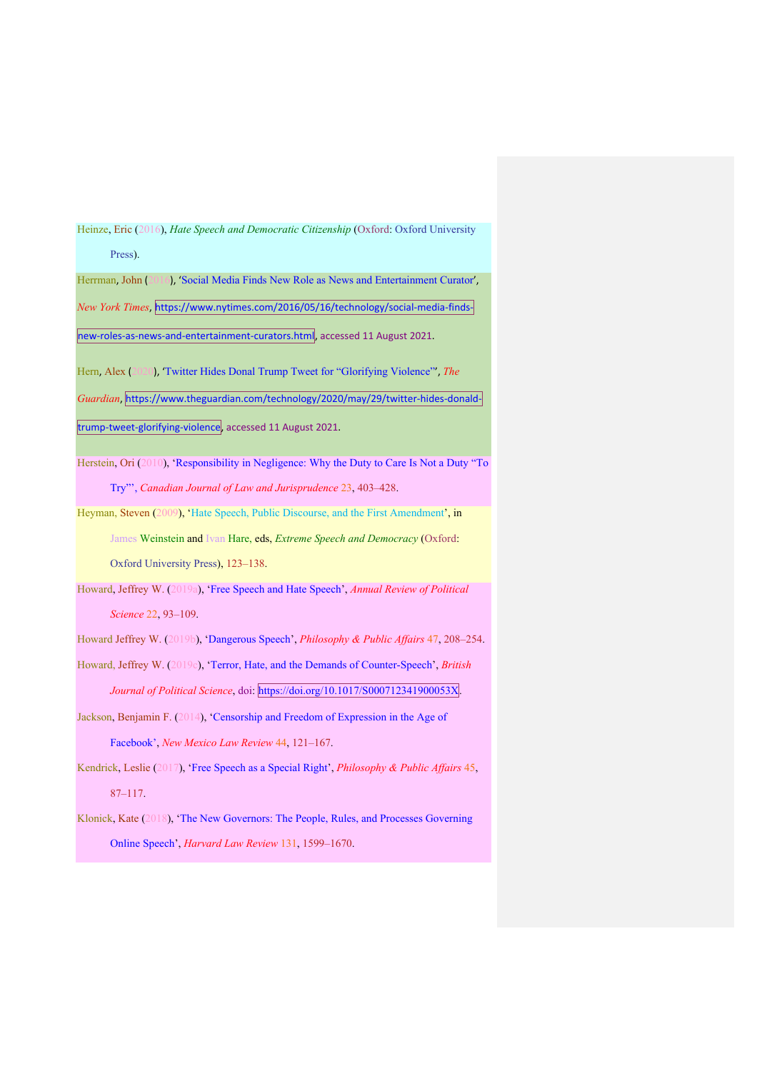Heinze, Eric (2016), *Hate Speech and Democratic Citizenship* (Oxford: Oxford University Press).

Herrman, John (2016), 'Social Media Finds New Role as News and Entertainment Curator', *New York Times*, https://www.nytimes.com/2016/05/16/technology/social-media-findsnew-roles-as-news-and-entertainment-curators.html, accessed 11 August 2021.

Hern, Alex (2020), 'Twitter Hides Donal Trump Tweet for "Glorifying Violence"', *The Guardian*, https://www.theguardian.com/technology/2020/may/29/twitter-hides-donaldtrump-tweet-glorifying-violence, accessed 11 August 2021.

- Herstein, Ori (2010), 'Responsibility in Negligence: Why the Duty to Care Is Not a Duty "To Try"', *Canadian Journal of Law and Jurisprudence* 23, 403–428.
- Heyman, Steven (2009), 'Hate Speech, Public Discourse, and the First Amendment', in James Weinstein and Ivan Hare, eds, *Extreme Speech and Democracy* (Oxford: Oxford University Press), 123–138.
- Howard, Jeffrey W. (2019a), 'Free Speech and Hate Speech', *Annual Review of Political Science* 22, 93–109.
- Howard Jeffrey W. (2019b), 'Dangerous Speech', *Philosophy & Public Affairs* 47, 208–254.
- Howard, Jeffrey W. (2019c), 'Terror, Hate, and the Demands of Counter-Speech', *British Journal of Political Science*, doi: https://doi.org/10.1017/S000712341900053X.
- Jackson, Benjamin F. (2014), 'Censorship and Freedom of Expression in the Age of Facebook', *New Mexico Law Review* 44, 121–167.
- Kendrick, Leslie (2017), 'Free Speech as a Special Right', *Philosophy & Public Affairs* 45, 87–117.
- Klonick, Kate (2018), 'The New Governors: The People, Rules, and Processes Governing Online Speech', *Harvard Law Review* 131, 1599–1670.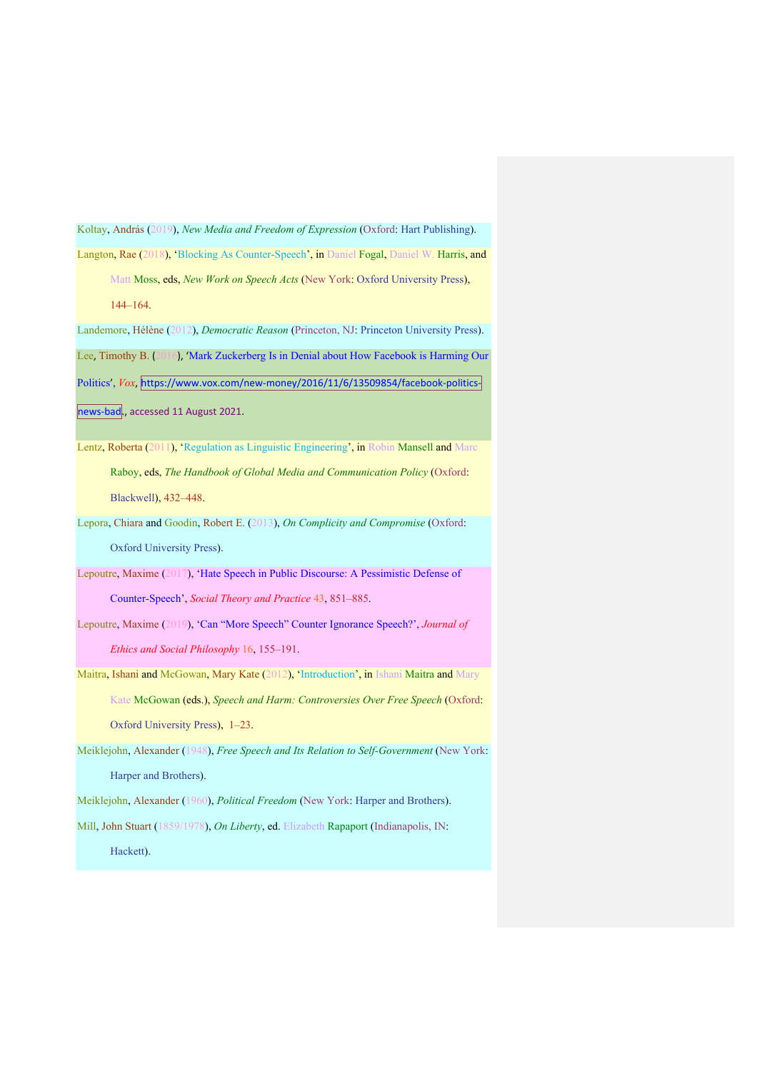Koltay, András (2019), *New Media and Freedom of Expression* (Oxford: Hart Publishing). Langton, Rae (2018), 'Blocking As Counter-Speech', in Daniel Fogal, Daniel W. Harris, and Matt Moss, eds, *New Work on Speech Acts* (New York: Oxford University Press), 144–164.

Landemore, Hélène (2012), *Democratic Reason* (Princeton, NJ: Princeton University Press). Lee, Timothy B. (2016), 'Mark Zuckerberg Is in Denial about How Facebook is Harming Our Politics', *Vox*, https://www.vox.com/new-money/2016/11/6/13509854/facebook-politicsnews-bad., accessed 11 August 2021.

- Lentz, Roberta (2011), 'Regulation as Linguistic Engineering', in Robin Mansell and Marc Raboy, eds, *The Handbook of Global Media and Communication Policy* (Oxford: Blackwell), 432–448.
- Lepora, Chiara and Goodin, Robert E. (2013), *On Complicity and Compromise* (Oxford: Oxford University Press).
- Lepoutre, Maxime (2017), 'Hate Speech in Public Discourse: A Pessimistic Defense of Counter-Speech', *Social Theory and Practice* 43, 851–885.
- Lepoutre, Maxime (2019), 'Can "More Speech" Counter Ignorance Speech?', *Journal of Ethics and Social Philosophy* 16, 155–191.
- Maitra, Ishani and McGowan, Mary Kate (2012), 'Introduction', in Ishani Maitra and Mary Kate McGowan (eds.), *Speech and Harm: Controversies Over Free Speech* (Oxford: Oxford University Press), 1–23.
- Meiklejohn, Alexander (1948), *Free Speech and Its Relation to Self-Government* (New York: Harper and Brothers).
- Meiklejohn, Alexander (1960), *Political Freedom* (New York: Harper and Brothers).
- Mill, John Stuart (1859/1978), *On Liberty*, ed. Elizabeth Rapaport (Indianapolis, IN:

Hackett).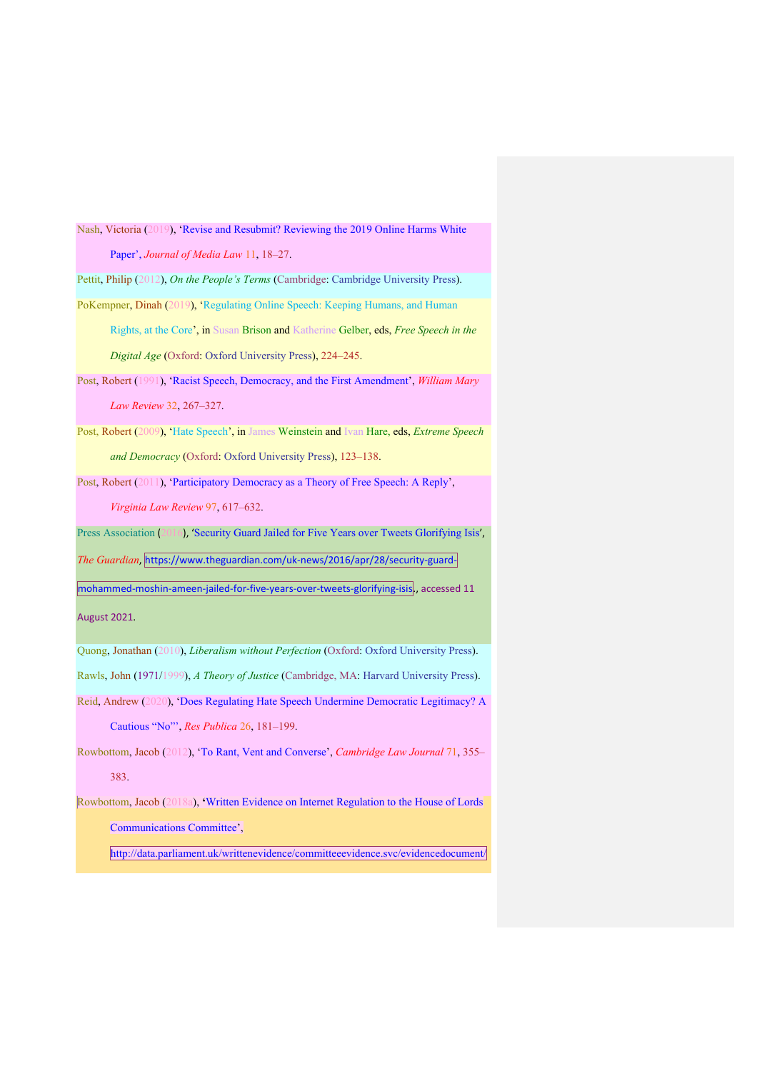Nash, Victoria (2019), 'Revise and Resubmit? Reviewing the 2019 Online Harms White Paper', *Journal of Media Law* 11, 18–27.

Pettit, Philip (2012), *On the People's Terms* (Cambridge: Cambridge University Press).

- PoKempner, Dinah (2019), 'Regulating Online Speech: Keeping Humans, and Human Rights, at the Core', in Susan Brison and Katherine Gelber, eds, *Free Speech in the Digital Age* (Oxford: Oxford University Press), 224–245.
- Post, Robert (1991), 'Racist Speech, Democracy, and the First Amendment', *William Mary Law Review* 32, 267–327.
- Post, Robert (2009), 'Hate Speech', in James Weinstein and Ivan Hare, eds, *Extreme Speech and Democracy* (Oxford: Oxford University Press), 123–138.
- Post, Robert (2011), 'Participatory Democracy as a Theory of Free Speech: A Reply', *Virginia Law Review* 97, 617–632.

Press Association (2016), 'Security Guard Jailed for Five Years over Tweets Glorifying Isis', *The Guardian*, https://www.theguardian.com/uk-news/2016/apr/28/security-guard-

mohammed-moshin-ameen-jailed-for-five-years-over-tweets-glorifying-isis., accessed 11

August 2021.

Quong, Jonathan (2010), *Liberalism without Perfection* (Oxford: Oxford University Press).

Rawls, John (1971/1999), *A Theory of Justice* (Cambridge, MA: Harvard University Press).

- Reid, Andrew (2020), 'Does Regulating Hate Speech Undermine Democratic Legitimacy? A Cautious "No"', *Res Publica* 26, 181–199.
- Rowbottom, Jacob (2012), 'To Rant, Vent and Converse', *Cambridge Law Journal* 71, 355– 383.
- Rowbottom, Jacob (2018a), **'**Written Evidence on Internet Regulation to the House of Lords Communications Committee',

http://data.parliament.uk/writtenevidence/committeeevidence.svc/evidencedocument/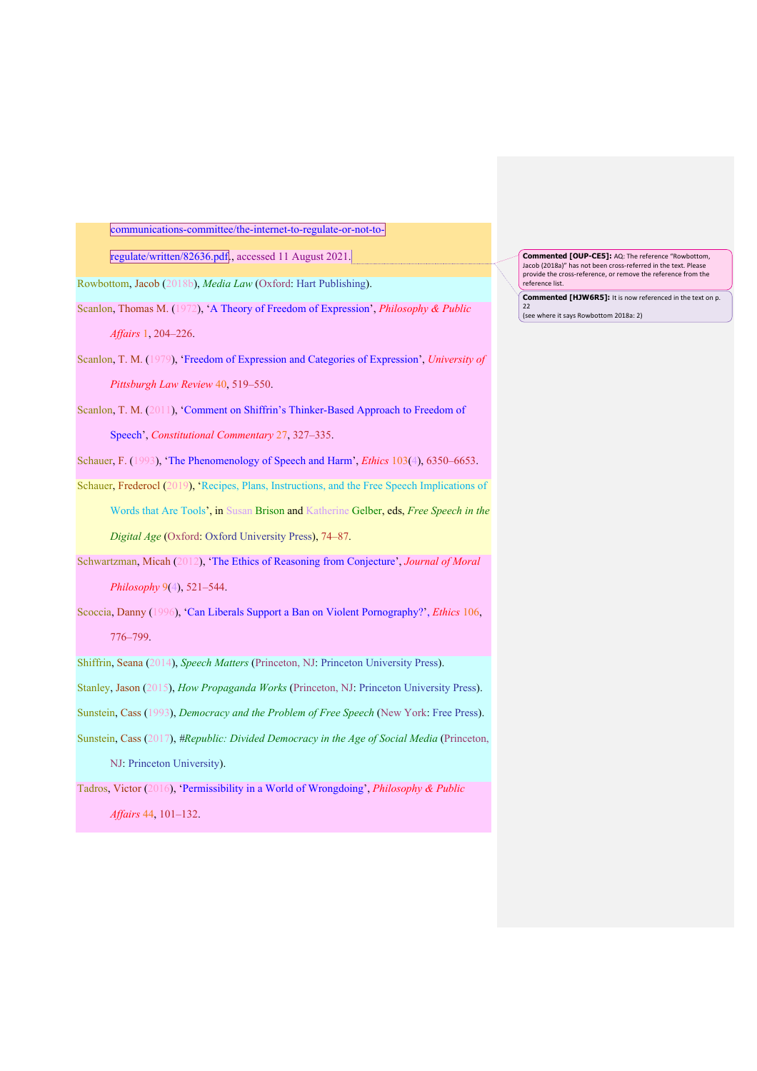communications-committee/the-internet-to-regulate-or-not-to-

regulate/written/82636.pdf., accessed 11 August 2021.

Rowbottom, Jacob (2018b), *Media Law* (Oxford: Hart Publishing).

- Scanlon, Thomas M. (1972), 'A Theory of Freedom of Expression', *Philosophy & Public Affairs* 1, 204–226.
- Scanlon, T. M. (1979), 'Freedom of Expression and Categories of Expression', *University of Pittsburgh Law Review* 40, 519–550.
- Scanlon, T. M. (2011), 'Comment on Shiffrin's Thinker-Based Approach to Freedom of Speech', *Constitutional Commentary* 27, 327–335.

Schauer, F. (1993), 'The Phenomenology of Speech and Harm', *Ethics* 103(4), 6350–6653.

Schauer, Frederocl (2019), 'Recipes, Plans, Instructions, and the Free Speech Implications of Words that Are Tools', in Susan Brison and Katherine Gelber, eds, *Free Speech in the Digital Age* (Oxford: Oxford University Press), 74–87.

- Schwartzman, Micah (2012), 'The Ethics of Reasoning from Conjecture', *Journal of Moral Philosophy* 9(4), 521–544.
- Scoccia, Danny (1996), 'Can Liberals Support a Ban on Violent Pornography?', *Ethics* 106, 776–799.
- Shiffrin, Seana (2014), *Speech Matters* (Princeton, NJ: Princeton University Press).

Stanley, Jason (2015), *How Propaganda Works* (Princeton, NJ: Princeton University Press).

Sunstein, Cass (1993), *Democracy and the Problem of Free Speech* (New York: Free Press).

Sunstein, Cass (2017), *#Republic: Divided Democracy in the Age of Social Media* (Princeton, NJ: Princeton University).

Tadros, Victor (2016), 'Permissibility in a World of Wrongdoing', *Philosophy & Public Affairs* 44, 101–132.

**Commented [OUP-CE5]:** AQ: The reference "Rowbottom, Jacob (2018a)" has not been cross-referred in the text. Please provide the cross-reference, or remove the reference from the reference list.

**Commented [HJW6R5]:** It is now referenced in the text on p.

22 (see where it says Rowbottom 2018a: 2)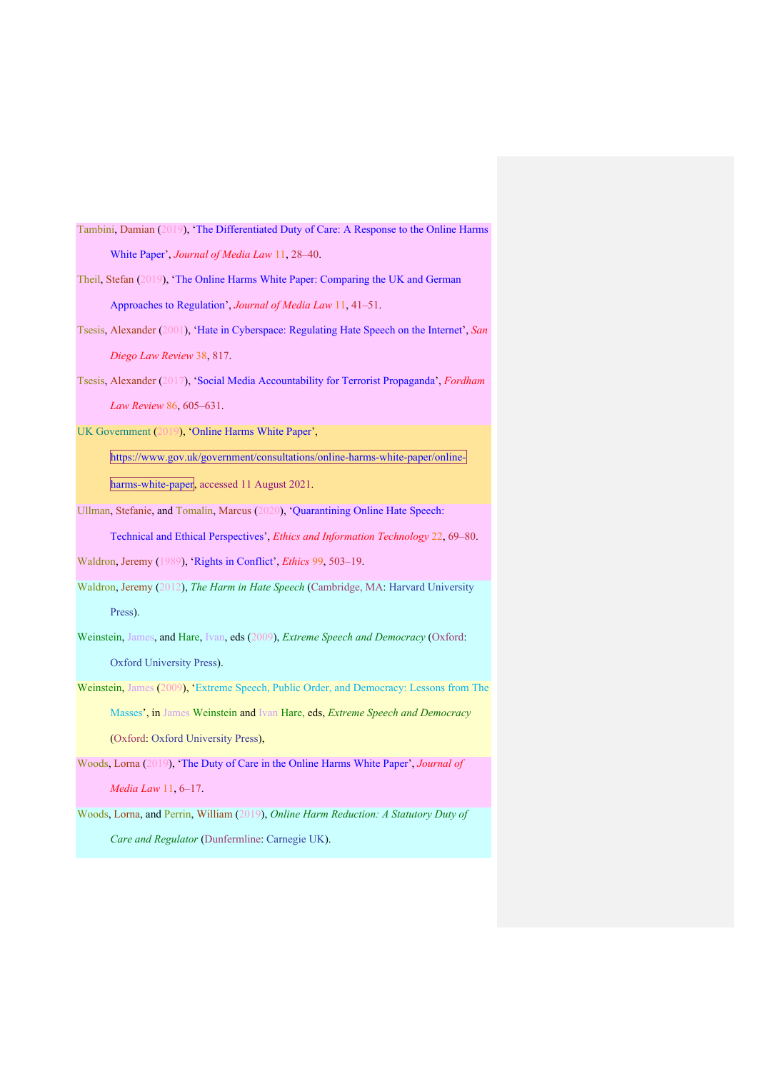Tambini, Damian (2019), 'The Differentiated Duty of Care: A Response to the Online Harms

White Paper', *Journal of Media Law* 11, 28–40.

- Theil, Stefan (2019), 'The Online Harms White Paper: Comparing the UK and German Approaches to Regulation', *Journal of Media Law* 11, 41–51.
- Tsesis, Alexander (2001), 'Hate in Cyberspace: Regulating Hate Speech on the Internet', *San Diego Law Review* 38, 817.
- Tsesis, Alexander (2017), 'Social Media Accountability for Terrorist Propaganda', *Fordham Law Review* 86, 605–631.

UK Government (2019), 'Online Harms White Paper',

https://www.gov.uk/government/consultations/online-harms-white-paper/online-

harms-white-paper, accessed 11 August 2021.

Ullman, Stefanie, and Tomalin, Marcus (2020), 'Quarantining Online Hate Speech:

Technical and Ethical Perspectives', *Ethics and Information Technology* 22, 69–80.

Waldron, Jeremy (1989), 'Rights in Conflict', *Ethics* 99, 503–19.

- Waldron, Jeremy (2012), *The Harm in Hate Speech* (Cambridge, MA: Harvard University Press).
- Weinstein, James, and Hare, Ivan, eds (2009), *Extreme Speech and Democracy* (Oxford: Oxford University Press).
- Weinstein, James (2009), 'Extreme Speech, Public Order, and Democracy: Lessons from The Masses', in James Weinstein and Ivan Hare, eds, *Extreme Speech and Democracy* (Oxford: Oxford University Press),
- Woods, Lorna (2019), 'The Duty of Care in the Online Harms White Paper', *Journal of Media Law* 11, 6–17.
- Woods, Lorna, and Perrin, William (2019), *Online Harm Reduction: A Statutory Duty of Care and Regulator* (Dunfermline: Carnegie UK).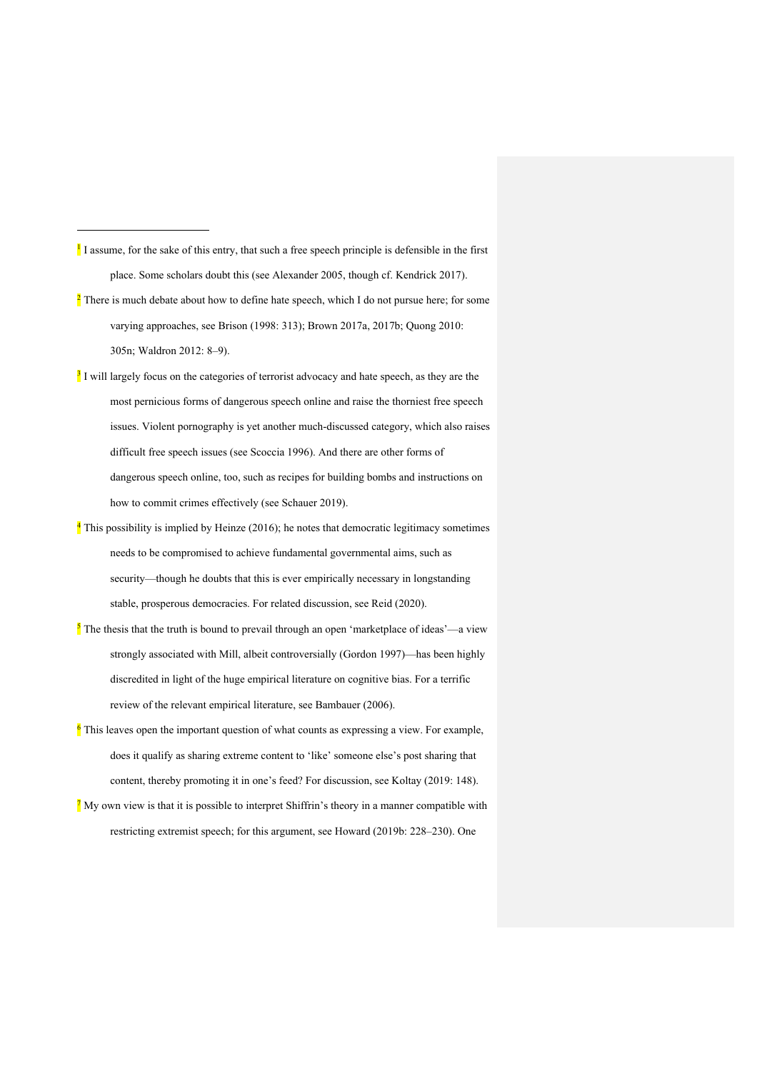$\frac{1}{2}$  I assume, for the sake of this entry, that such a free speech principle is defensible in the first place. Some scholars doubt this (see Alexander 2005, though cf. Kendrick 2017).

- $\frac{2}{3}$  There is much debate about how to define hate speech, which I do not pursue here; for some varying approaches, see Brison (1998: 313); Brown 2017a, 2017b; Quong 2010: 305n; Waldron 2012: 8–9).
- <sup>3</sup> I will largely focus on the categories of terrorist advocacy and hate speech, as they are the most pernicious forms of dangerous speech online and raise the thorniest free speech issues. Violent pornography is yet another much-discussed category, which also raises difficult free speech issues (see Scoccia 1996). And there are other forms of dangerous speech online, too, such as recipes for building bombs and instructions on how to commit crimes effectively (see Schauer 2019).
- $\frac{4}{3}$  This possibility is implied by Heinze (2016); he notes that democratic legitimacy sometimes needs to be compromised to achieve fundamental governmental aims, such as security—though he doubts that this is ever empirically necessary in longstanding stable, prosperous democracies. For related discussion, see Reid (2020).
- $\frac{5}{3}$  The thesis that the truth is bound to prevail through an open 'marketplace of ideas'—a view strongly associated with Mill, albeit controversially (Gordon 1997)—has been highly discredited in light of the huge empirical literature on cognitive bias. For a terrific review of the relevant empirical literature, see Bambauer (2006).
- $\frac{6}{3}$  This leaves open the important question of what counts as expressing a view. For example, does it qualify as sharing extreme content to 'like' someone else's post sharing that content, thereby promoting it in one's feed? For discussion, see Koltay (2019: 148).
- <sup>7</sup> My own view is that it is possible to interpret Shiffrin's theory in a manner compatible with restricting extremist speech; for this argument, see Howard (2019b: 228–230). One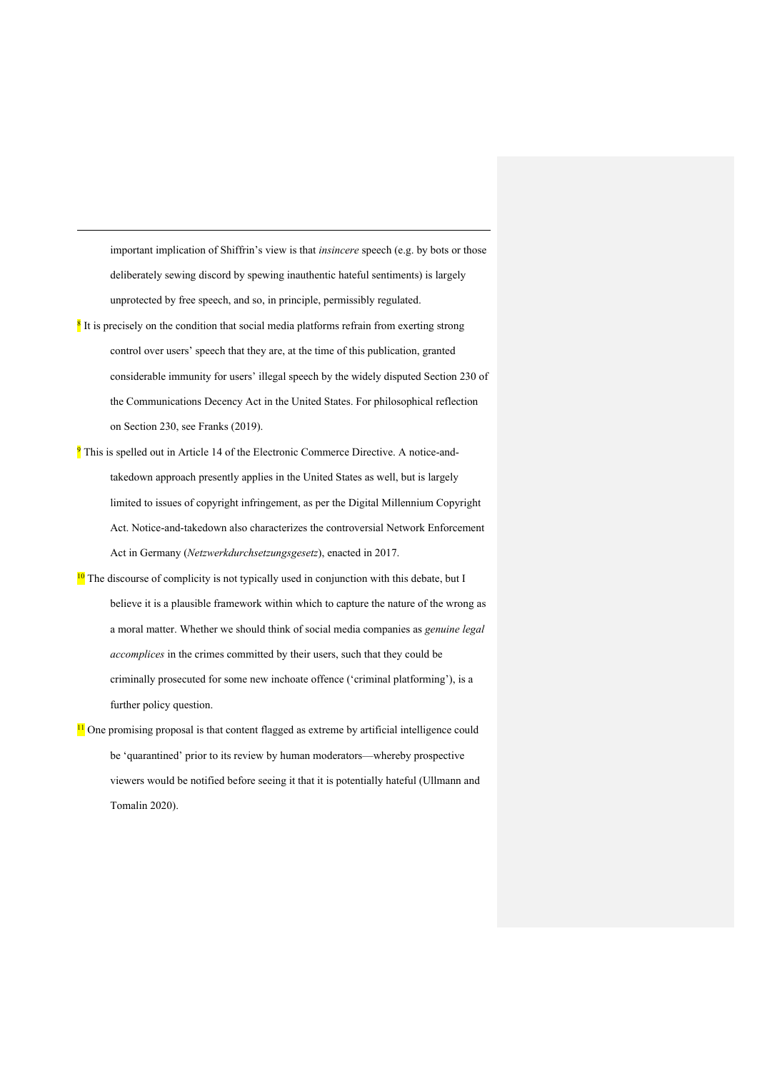important implication of Shiffrin's view is that *insincere* speech (e.g. by bots or those deliberately sewing discord by spewing inauthentic hateful sentiments) is largely unprotected by free speech, and so, in principle, permissibly regulated.

- <sup>8</sup> It is precisely on the condition that social media platforms refrain from exerting strong control over users' speech that they are, at the time of this publication, granted considerable immunity for users' illegal speech by the widely disputed Section 230 of the Communications Decency Act in the United States. For philosophical reflection on Section 230, see Franks (2019).
- <sup>9</sup> This is spelled out in Article 14 of the Electronic Commerce Directive. A notice-andtakedown approach presently applies in the United States as well, but is largely limited to issues of copyright infringement, as per the Digital Millennium Copyright Act. Notice-and-takedown also characterizes the controversial Network Enforcement Act in Germany (*Netzwerkdurchsetzungsgesetz*), enacted in 2017.
- $\frac{10}{10}$  The discourse of complicity is not typically used in conjunction with this debate, but I believe it is a plausible framework within which to capture the nature of the wrong as a moral matter. Whether we should think of social media companies as *genuine legal accomplices* in the crimes committed by their users, such that they could be criminally prosecuted for some new inchoate offence ('criminal platforming'), is a further policy question.
- <sup>11</sup> One promising proposal is that content flagged as extreme by artificial intelligence could be 'quarantined' prior to its review by human moderators—whereby prospective viewers would be notified before seeing it that it is potentially hateful (Ullmann and Tomalin 2020).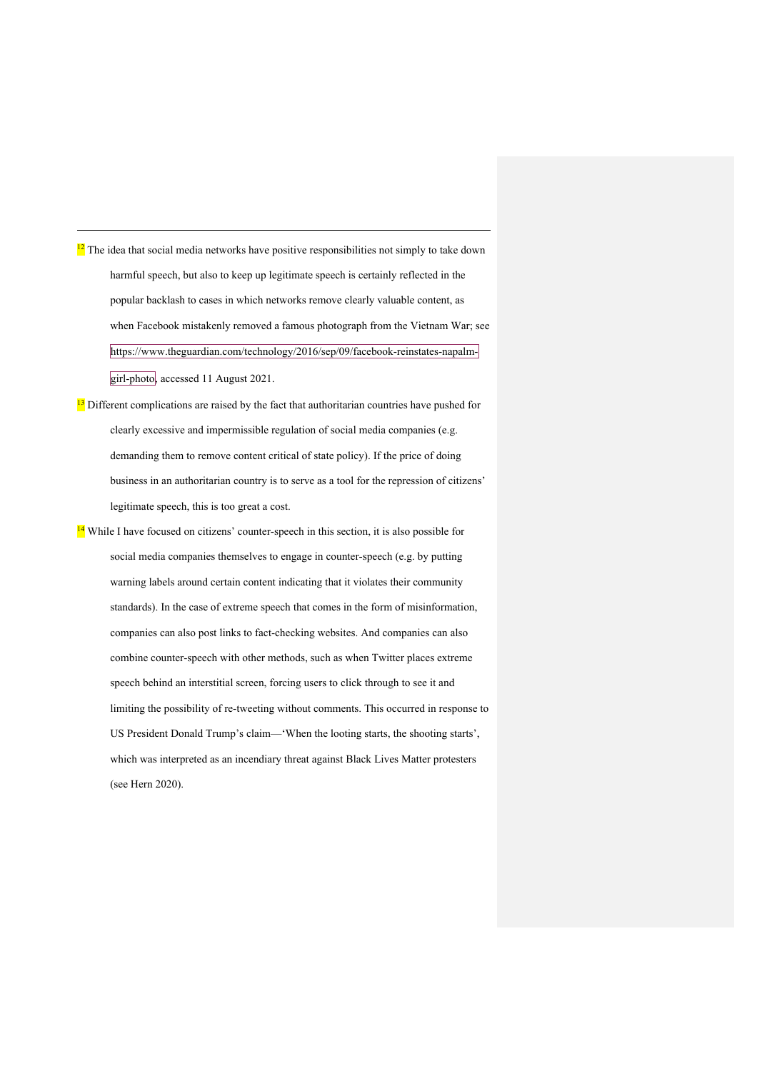$\frac{12}{2}$  The idea that social media networks have positive responsibilities not simply to take down harmful speech, but also to keep up legitimate speech is certainly reflected in the popular backlash to cases in which networks remove clearly valuable content, as when Facebook mistakenly removed a famous photograph from the Vietnam War; see https://www.theguardian.com/technology/2016/sep/09/facebook-reinstates-napalmgirl-photo, accessed 11 August 2021.

- <sup>13</sup> Different complications are raised by the fact that authoritarian countries have pushed for clearly excessive and impermissible regulation of social media companies (e.g. demanding them to remove content critical of state policy). If the price of doing business in an authoritarian country is to serve as a tool for the repression of citizens' legitimate speech, this is too great a cost.
- $\frac{14}{11}$  While I have focused on citizens' counter-speech in this section, it is also possible for social media companies themselves to engage in counter-speech (e.g. by putting warning labels around certain content indicating that it violates their community standards). In the case of extreme speech that comes in the form of misinformation, companies can also post links to fact-checking websites. And companies can also combine counter-speech with other methods, such as when Twitter places extreme speech behind an interstitial screen, forcing users to click through to see it and limiting the possibility of re-tweeting without comments. This occurred in response to US President Donald Trump's claim—'When the looting starts, the shooting starts', which was interpreted as an incendiary threat against Black Lives Matter protesters (see Hern 2020).